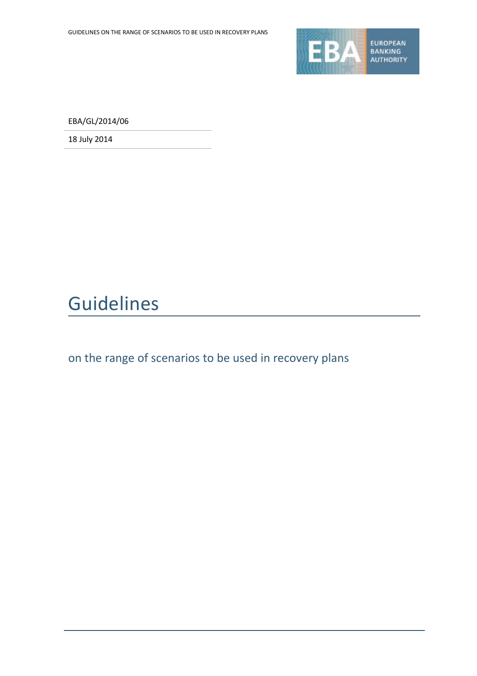

EBA/GL/2014/06

18 July 2014

# Guidelines

on the range of scenarios to be used in recovery plans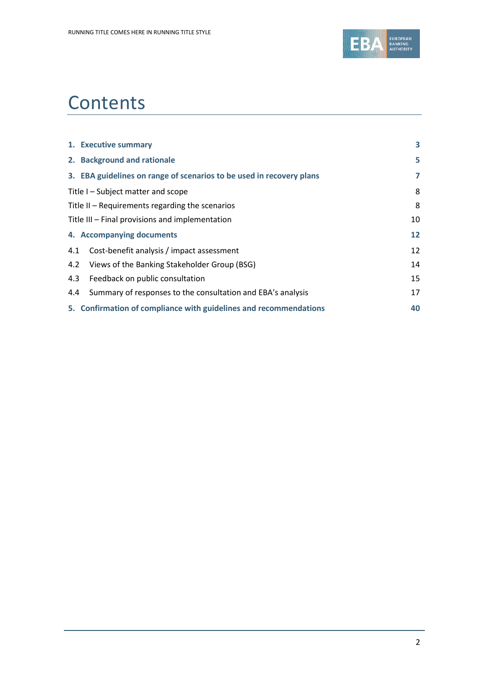

## **Contents**

| 1. Executive summary                                                 | 3  |
|----------------------------------------------------------------------|----|
| 2. Background and rationale                                          | 5  |
| 3. EBA guidelines on range of scenarios to be used in recovery plans | 7  |
| Title I – Subject matter and scope                                   | 8  |
| Title $II$ – Requirements regarding the scenarios                    | 8  |
| Title III - Final provisions and implementation                      | 10 |
| 4. Accompanying documents                                            | 12 |
| Cost-benefit analysis / impact assessment<br>4.1                     | 12 |
| Views of the Banking Stakeholder Group (BSG)<br>4.2                  | 14 |
| 4.3<br>Feedback on public consultation                               | 15 |
| Summary of responses to the consultation and EBA's analysis<br>4.4   | 17 |
| 5. Confirmation of compliance with guidelines and recommendations    | 40 |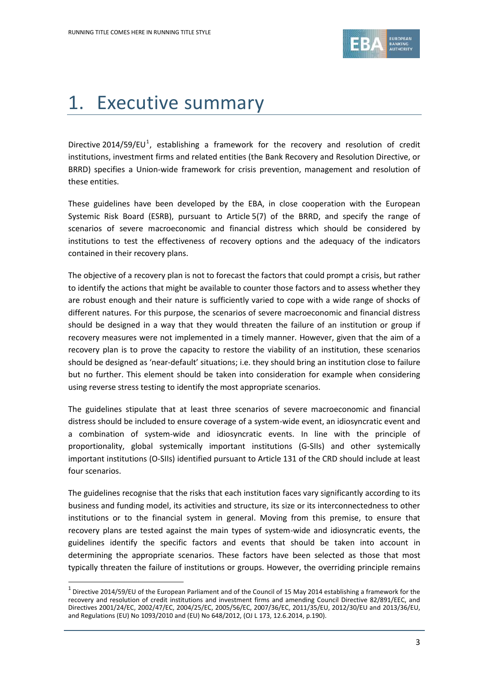

## 1. Executive summary

Directive 2014/59/EU<sup>1</sup>, establishing a framework for the recovery and resolution of credit institutions, investment firms and related entities (the Bank Recovery and Resolution Directive, or BRRD) specifies a Union-wide framework for crisis prevention, management and resolution of these entities.

These guidelines have been developed by the EBA, in close cooperation with the European Systemic Risk Board (ESRB), pursuant to Article 5(7) of the BRRD, and specify the range of scenarios of severe macroeconomic and financial distress which should be considered by institutions to test the effectiveness of recovery options and the adequacy of the indicators contained in their recovery plans.

The objective of a recovery plan is not to forecast the factors that could prompt a crisis, but rather to identify the actions that might be available to counter those factors and to assess whether they are robust enough and their nature is sufficiently varied to cope with a wide range of shocks of different natures. For this purpose, the scenarios of severe macroeconomic and financial distress should be designed in a way that they would threaten the failure of an institution or group if recovery measures were not implemented in a timely manner. However, given that the aim of a recovery plan is to prove the capacity to restore the viability of an institution, these scenarios should be designed as 'near-default' situations; i.e. they should bring an institution close to failure but no further. This element should be taken into consideration for example when considering using reverse stress testing to identify the most appropriate scenarios.

The guidelines stipulate that at least three scenarios of severe macroeconomic and financial distress should be included to ensure coverage of a system-wide event, an idiosyncratic event and a combination of system-wide and idiosyncratic events. In line with the principle of proportionality, global systemically important institutions (G-SIIs) and other systemically important institutions (O-SIIs) identified pursuant to Article 131 of the CRD should include at least four scenarios.

The guidelines recognise that the risks that each institution faces vary significantly according to its business and funding model, its activities and structure, its size or its interconnectedness to other institutions or to the financial system in general. Moving from this premise, to ensure that recovery plans are tested against the main types of system-wide and idiosyncratic events, the guidelines identify the specific factors and events that should be taken into account in determining the appropriate scenarios. These factors have been selected as those that most typically threaten the failure of institutions or groups. However, the overriding principle remains

1

 $^1$  Directive 2014/59/EU of the European Parliament and of the Council of 15 May 2014 establishing a framework for the recovery and resolution of credit institutions and investment firms and amending Council Directive 82/891/EEC, and Directives 2001/24/EC, 2002/47/EC, 2004/25/EC, 2005/56/EC, 2007/36/EC, 2011/35/EU, 2012/30/EU and 2013/36/EU, and Regulations (EU) No 1093/2010 and (EU) No 648/2012, (OJ L 173, 12.6.2014, p.190).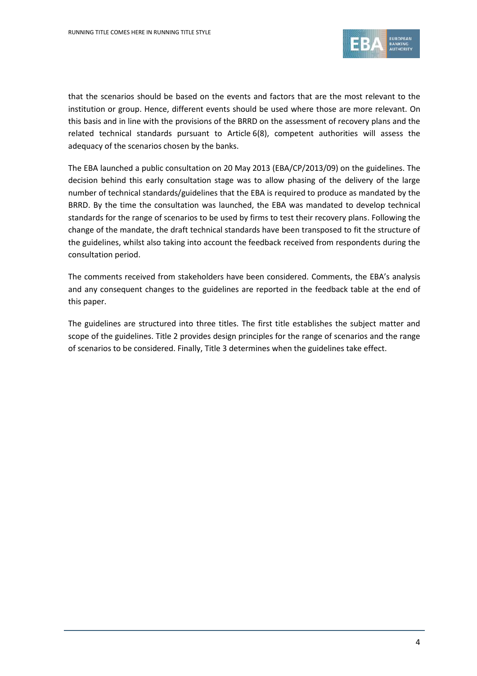

that the scenarios should be based on the events and factors that are the most relevant to the institution or group. Hence, different events should be used where those are more relevant. On this basis and in line with the provisions of the BRRD on the assessment of recovery plans and the related technical standards pursuant to Article 6(8), competent authorities will assess the adequacy of the scenarios chosen by the banks.

The EBA launched a public consultation on 20 May 2013 (EBA/CP/2013/09) on the guidelines. The decision behind this early consultation stage was to allow phasing of the delivery of the large number of technical standards/guidelines that the EBA is required to produce as mandated by the BRRD. By the time the consultation was launched, the EBA was mandated to develop technical standards for the range of scenarios to be used by firms to test their recovery plans. Following the change of the mandate, the draft technical standards have been transposed to fit the structure of the guidelines, whilst also taking into account the feedback received from respondents during the consultation period.

The comments received from stakeholders have been considered. Comments, the EBA's analysis and any consequent changes to the guidelines are reported in the feedback table at the end of this paper.

The guidelines are structured into three titles. The first title establishes the subject matter and scope of the guidelines. Title 2 provides design principles for the range of scenarios and the range of scenarios to be considered. Finally, Title 3 determines when the guidelines take effect.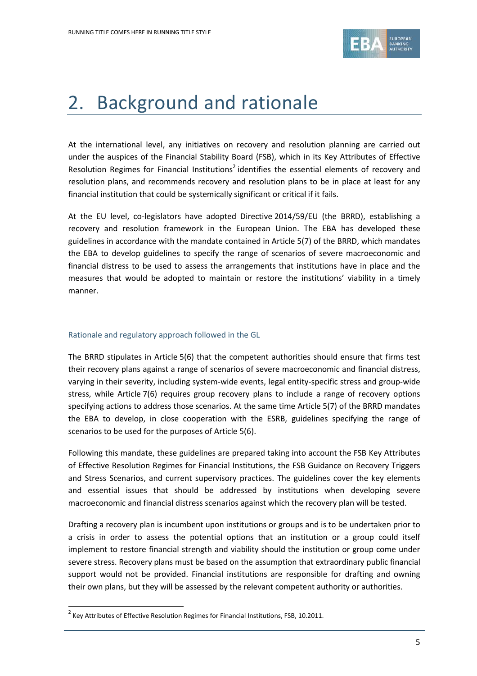

## 2. Background and rationale

At the international level, any initiatives on recovery and resolution planning are carried out under the auspices of the Financial Stability Board (FSB), which in its Key Attributes of Effective Resolution Regimes for Financial Institutions<sup>2</sup> identifies the essential elements of recovery and resolution plans, and recommends recovery and resolution plans to be in place at least for any financial institution that could be systemically significant or critical if it fails.

At the EU level, co-legislators have adopted Directive 2014/59/EU (the BRRD), establishing a recovery and resolution framework in the European Union. The EBA has developed these guidelines in accordance with the mandate contained in Article 5(7) of the BRRD, which mandates the EBA to develop guidelines to specify the range of scenarios of severe macroeconomic and financial distress to be used to assess the arrangements that institutions have in place and the measures that would be adopted to maintain or restore the institutions' viability in a timely manner.

#### Rationale and regulatory approach followed in the GL

The BRRD stipulates in Article 5(6) that the competent authorities should ensure that firms test their recovery plans against a range of scenarios of severe macroeconomic and financial distress, varying in their severity, including system-wide events, legal entity-specific stress and group-wide stress, while Article 7(6) requires group recovery plans to include a range of recovery options specifying actions to address those scenarios. At the same time Article 5(7) of the BRRD mandates the EBA to develop, in close cooperation with the ESRB, guidelines specifying the range of scenarios to be used for the purposes of Article 5(6).

Following this mandate, these guidelines are prepared taking into account the FSB Key Attributes of Effective Resolution Regimes for Financial Institutions, the FSB Guidance on Recovery Triggers and Stress Scenarios, and current supervisory practices. The guidelines cover the key elements and essential issues that should be addressed by institutions when developing severe macroeconomic and financial distress scenarios against which the recovery plan will be tested.

Drafting a recovery plan is incumbent upon institutions or groups and is to be undertaken prior to a crisis in order to assess the potential options that an institution or a group could itself implement to restore financial strength and viability should the institution or group come under severe stress. Recovery plans must be based on the assumption that extraordinary public financial support would not be provided. Financial institutions are responsible for drafting and owning their own plans, but they will be assessed by the relevant competent authority or authorities.

1

 $<sup>2</sup>$  Key Attributes of Effective Resolution Regimes for Financial Institutions, FSB, 10.2011.</sup>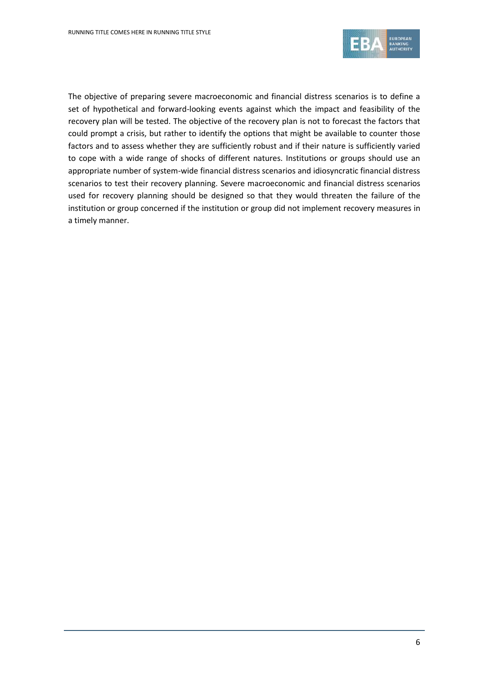

The objective of preparing severe macroeconomic and financial distress scenarios is to define a set of hypothetical and forward-looking events against which the impact and feasibility of the recovery plan will be tested. The objective of the recovery plan is not to forecast the factors that could prompt a crisis, but rather to identify the options that might be available to counter those factors and to assess whether they are sufficiently robust and if their nature is sufficiently varied to cope with a wide range of shocks of different natures. Institutions or groups should use an appropriate number of system-wide financial distress scenarios and idiosyncratic financial distress scenarios to test their recovery planning. Severe macroeconomic and financial distress scenarios used for recovery planning should be designed so that they would threaten the failure of the institution or group concerned if the institution or group did not implement recovery measures in a timely manner.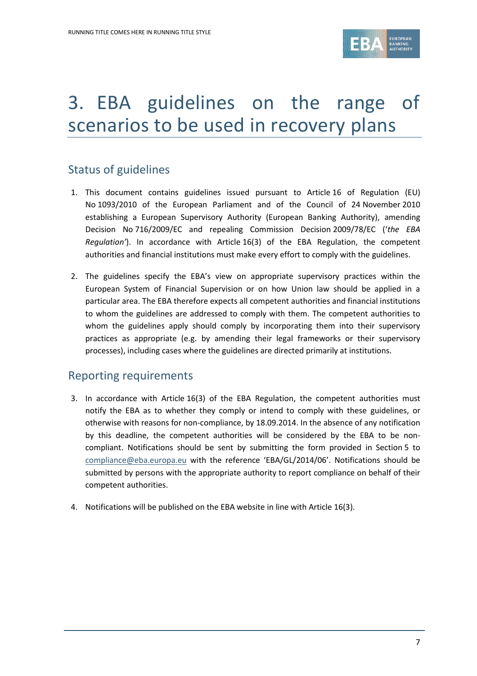

## 3. EBA guidelines on the range of scenarios to be used in recovery plans

## Status of guidelines

- 1. This document contains guidelines issued pursuant to Article 16 of Regulation (EU) No 1093/2010 of the European Parliament and of the Council of 24 November 2010 establishing a European Supervisory Authority (European Banking Authority), amending Decision No 716/2009/EC and repealing Commission Decision 2009/78/EC ('*the EBA Regulation'*). In accordance with Article 16(3) of the EBA Regulation, the competent authorities and financial institutions must make every effort to comply with the guidelines.
- 2. The guidelines specify the EBA's view on appropriate supervisory practices within the European System of Financial Supervision or on how Union law should be applied in a particular area. The EBA therefore expects all competent authorities and financial institutions to whom the guidelines are addressed to comply with them. The competent authorities to whom the guidelines apply should comply by incorporating them into their supervisory practices as appropriate (e.g. by amending their legal frameworks or their supervisory processes), including cases where the guidelines are directed primarily at institutions.

### Reporting requirements

- 3. In accordance with Article 16(3) of the EBA Regulation, the competent authorities must notify the EBA as to whether they comply or intend to comply with these guidelines, or otherwise with reasons for non-compliance, by 18.09.2014. In the absence of any notification by this deadline, the competent authorities will be considered by the EBA to be noncompliant. Notifications should be sent by submitting the form provided in Section 5 to [compliance@eba.europa.eu](mailto:compliance@eba.europa.eu) with the reference 'EBA/GL/2014/06'. Notifications should be submitted by persons with the appropriate authority to report compliance on behalf of their competent authorities.
- 4. Notifications will be published on the EBA website in line with Article 16(3).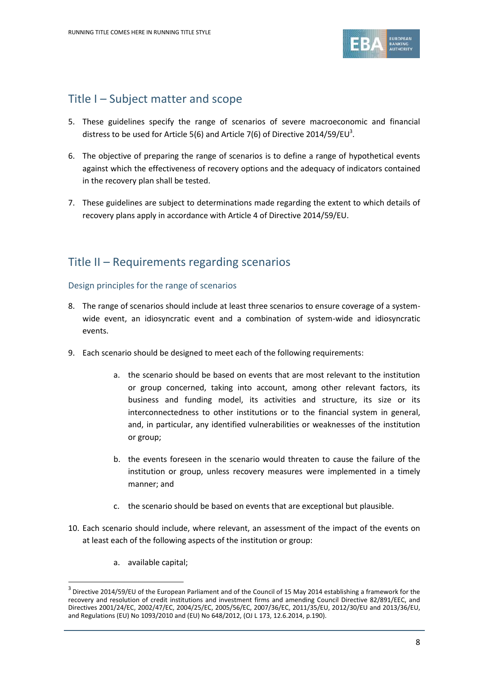

### Title I – Subject matter and scope

- 5. These guidelines specify the range of scenarios of severe macroeconomic and financial distress to be used for Article 5(6) and Article 7(6) of Directive 2014/59/EU<sup>3</sup>.
- 6. The objective of preparing the range of scenarios is to define a range of hypothetical events against which the effectiveness of recovery options and the adequacy of indicators contained in the recovery plan shall be tested.
- 7. These guidelines are subject to determinations made regarding the extent to which details of recovery plans apply in accordance with Article 4 of Directive 2014/59/EU.

## Title II – Requirements regarding scenarios

#### Design principles for the range of scenarios

- 8. The range of scenarios should include at least three scenarios to ensure coverage of a systemwide event, an idiosyncratic event and a combination of system-wide and idiosyncratic events.
- 9. Each scenario should be designed to meet each of the following requirements:
	- a. the scenario should be based on events that are most relevant to the institution or group concerned, taking into account, among other relevant factors, its business and funding model, its activities and structure, its size or its interconnectedness to other institutions or to the financial system in general, and, in particular, any identified vulnerabilities or weaknesses of the institution or group;
	- b. the events foreseen in the scenario would threaten to cause the failure of the institution or group, unless recovery measures were implemented in a timely manner; and
	- c. the scenario should be based on events that are exceptional but plausible.
- 10. Each scenario should include, where relevant, an assessment of the impact of the events on at least each of the following aspects of the institution or group:
	- a. available capital;

1

 $3$  Directive 2014/59/EU of the European Parliament and of the Council of 15 May 2014 establishing a framework for the recovery and resolution of credit institutions and investment firms and amending Council Directive 82/891/EEC, and Directives 2001/24/EC, 2002/47/EC, 2004/25/EC, 2005/56/EC, 2007/36/EC, 2011/35/EU, 2012/30/EU and 2013/36/EU, and Regulations (EU) No 1093/2010 and (EU) No 648/2012, (OJ L 173, 12.6.2014, p.190).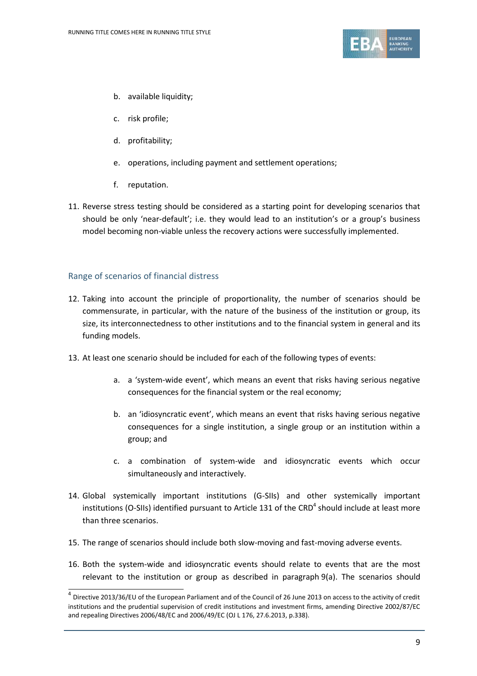

- b. available liquidity;
- c. risk profile;
- d. profitability;
- e. operations, including payment and settlement operations;
- f. reputation.
- 11. Reverse stress testing should be considered as a starting point for developing scenarios that should be only 'near-default'; i.e. they would lead to an institution's or a group's business model becoming non-viable unless the recovery actions were successfully implemented.

#### Range of scenarios of financial distress

- 12. Taking into account the principle of proportionality, the number of scenarios should be commensurate, in particular, with the nature of the business of the institution or group, its size, its interconnectedness to other institutions and to the financial system in general and its funding models.
- 13. At least one scenario should be included for each of the following types of events:
	- a. a 'system-wide event', which means an event that risks having serious negative consequences for the financial system or the real economy;
	- b. an 'idiosyncratic event', which means an event that risks having serious negative consequences for a single institution, a single group or an institution within a group; and
	- c. a combination of system-wide and idiosyncratic events which occur simultaneously and interactively.
- 14. Global systemically important institutions (G-SIIs) and other systemically important institutions (O-SIIs) identified pursuant to Article 131 of the CRD<sup>4</sup> should include at least more than three scenarios.
- 15. The range of scenarios should include both slow-moving and fast-moving adverse events.
- 16. Both the system-wide and idiosyncratic events should relate to events that are the most relevant to the institution or group as described in paragraph 9(a). The scenarios should

 4 Directive 2013/36/EU of the European Parliament and of the Council of 26 June 2013 on access to the activity of credit institutions and the prudential supervision of credit institutions and investment firms, amending Directive 2002/87/EC and repealing Directives 2006/48/EC and 2006/49/EC (OJ L 176, 27.6.2013, p.338).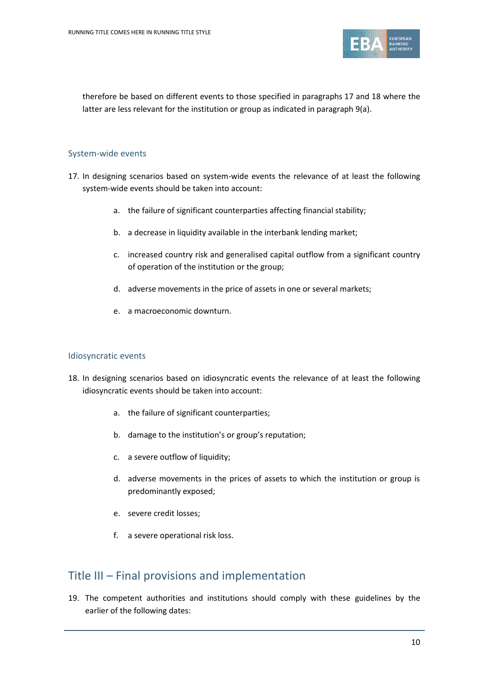

therefore be based on different events to those specified in paragraphs 17 and 18 where the latter are less relevant for the institution or group as indicated in paragraph 9(a).

#### System-wide events

- 17. In designing scenarios based on system-wide events the relevance of at least the following system-wide events should be taken into account:
	- a. the failure of significant counterparties affecting financial stability;
	- b. a decrease in liquidity available in the interbank lending market;
	- c. increased country risk and generalised capital outflow from a significant country of operation of the institution or the group;
	- d. adverse movements in the price of assets in one or several markets;
	- e. a macroeconomic downturn.

#### Idiosyncratic events

- 18. In designing scenarios based on idiosyncratic events the relevance of at least the following idiosyncratic events should be taken into account:
	- a. the failure of significant counterparties;
	- b. damage to the institution's or group's reputation;
	- c. a severe outflow of liquidity;
	- d. adverse movements in the prices of assets to which the institution or group is predominantly exposed;
	- e. severe credit losses;
	- f. a severe operational risk loss.

### Title III – Final provisions and implementation

19. The competent authorities and institutions should comply with these guidelines by the earlier of the following dates: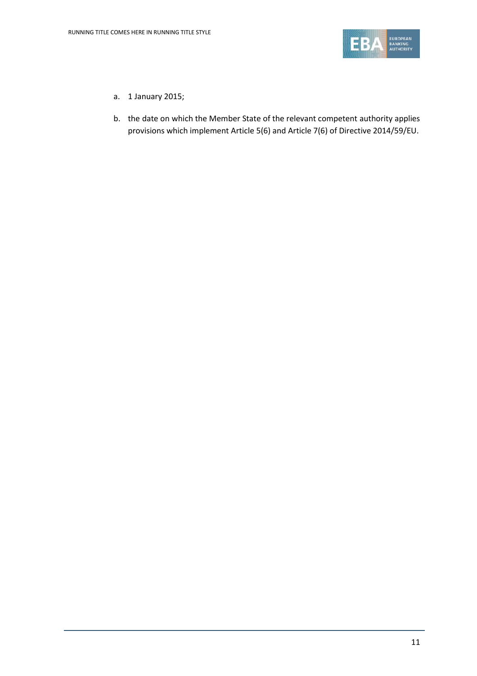

- a. 1 January 2015;
- b. the date on which the Member State of the relevant competent authority applies provisions which implement Article 5(6) and Article 7(6) of Directive 2014/59/EU.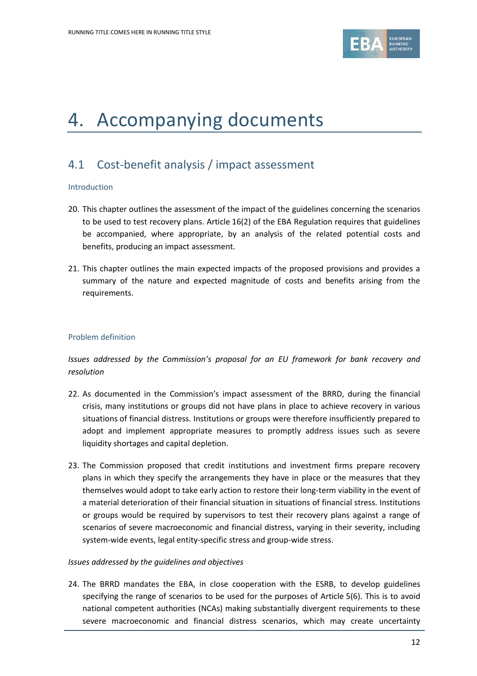

## 4. Accompanying documents

### 4.1 Cost-benefit analysis / impact assessment

#### Introduction

- 20. This chapter outlines the assessment of the impact of the guidelines concerning the scenarios to be used to test recovery plans. Article 16(2) of the EBA Regulation requires that guidelines be accompanied, where appropriate, by an analysis of the related potential costs and benefits, producing an impact assessment.
- 21. This chapter outlines the main expected impacts of the proposed provisions and provides a summary of the nature and expected magnitude of costs and benefits arising from the requirements.

#### Problem definition

#### *Issues addressed by the Commission's proposal for an EU framework for bank recovery and resolution*

- 22. As documented in the Commission's impact assessment of the BRRD, during the financial crisis, many institutions or groups did not have plans in place to achieve recovery in various situations of financial distress. Institutions or groups were therefore insufficiently prepared to adopt and implement appropriate measures to promptly address issues such as severe liquidity shortages and capital depletion.
- 23. The Commission proposed that credit institutions and investment firms prepare recovery plans in which they specify the arrangements they have in place or the measures that they themselves would adopt to take early action to restore their long-term viability in the event of a material deterioration of their financial situation in situations of financial stress. Institutions or groups would be required by supervisors to test their recovery plans against a range of scenarios of severe macroeconomic and financial distress, varying in their severity, including system-wide events, legal entity-specific stress and group-wide stress.

#### *Issues addressed by the guidelines and objectives*

24. The BRRD mandates the EBA, in close cooperation with the ESRB, to develop guidelines specifying the range of scenarios to be used for the purposes of Article 5(6). This is to avoid national competent authorities (NCAs) making substantially divergent requirements to these severe macroeconomic and financial distress scenarios, which may create uncertainty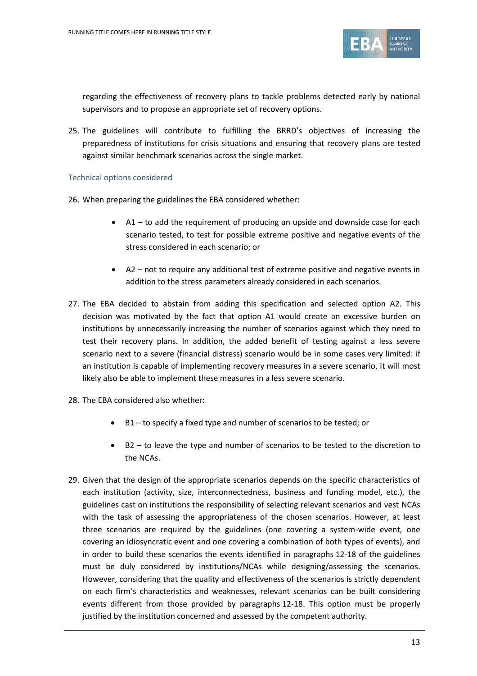

regarding the effectiveness of recovery plans to tackle problems detected early by national supervisors and to propose an appropriate set of recovery options.

25. The guidelines will contribute to fulfilling the BRRD's objectives of increasing the preparedness of institutions for crisis situations and ensuring that recovery plans are tested against similar benchmark scenarios across the single market.

#### Technical options considered

- 26. When preparing the guidelines the EBA considered whether:
	- A1 to add the requirement of producing an upside and downside case for each scenario tested, to test for possible extreme positive and negative events of the stress considered in each scenario; or
	- A2 not to require any additional test of extreme positive and negative events in addition to the stress parameters already considered in each scenarios.
- 27. The EBA decided to abstain from adding this specification and selected option A2. This decision was motivated by the fact that option A1 would create an excessive burden on institutions by unnecessarily increasing the number of scenarios against which they need to test their recovery plans. In addition, the added benefit of testing against a less severe scenario next to a severe (financial distress) scenario would be in some cases very limited: if an institution is capable of implementing recovery measures in a severe scenario, it will most likely also be able to implement these measures in a less severe scenario.
- 28. The EBA considered also whether:
	- B1 to specify a fixed type and number of scenarios to be tested; or
	- B2 to leave the type and number of scenarios to be tested to the discretion to the NCAs.
- 29. Given that the design of the appropriate scenarios depends on the specific characteristics of each institution (activity, size, interconnectedness, business and funding model, etc.), the guidelines cast on institutions the responsibility of selecting relevant scenarios and vest NCAs with the task of assessing the appropriateness of the chosen scenarios. However, at least three scenarios are required by the guidelines (one covering a system-wide event, one covering an idiosyncratic event and one covering a combination of both types of events), and in order to build these scenarios the events identified in paragraphs 12-18 of the guidelines must be duly considered by institutions/NCAs while designing/assessing the scenarios. However, considering that the quality and effectiveness of the scenarios is strictly dependent on each firm's characteristics and weaknesses, relevant scenarios can be built considering events different from those provided by paragraphs 12-18. This option must be properly justified by the institution concerned and assessed by the competent authority.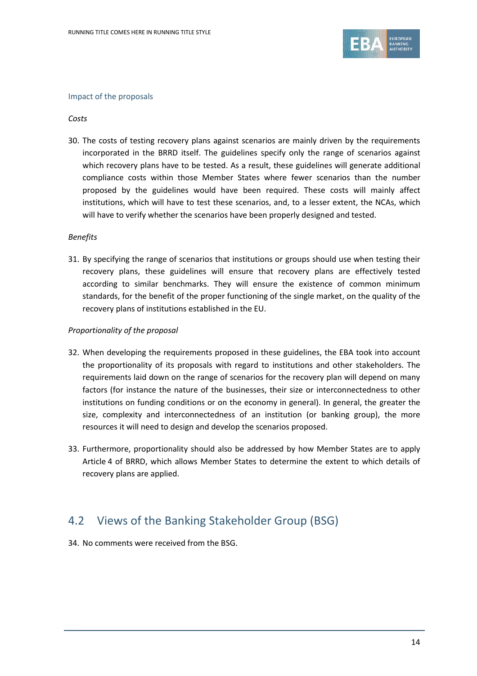

#### Impact of the proposals

#### *Costs*

30. The costs of testing recovery plans against scenarios are mainly driven by the requirements incorporated in the BRRD itself. The guidelines specify only the range of scenarios against which recovery plans have to be tested. As a result, these guidelines will generate additional compliance costs within those Member States where fewer scenarios than the number proposed by the guidelines would have been required. These costs will mainly affect institutions, which will have to test these scenarios, and, to a lesser extent, the NCAs, which will have to verify whether the scenarios have been properly designed and tested.

#### *Benefits*

31. By specifying the range of scenarios that institutions or groups should use when testing their recovery plans, these guidelines will ensure that recovery plans are effectively tested according to similar benchmarks. They will ensure the existence of common minimum standards, for the benefit of the proper functioning of the single market, on the quality of the recovery plans of institutions established in the EU.

#### *Proportionality of the proposal*

- 32. When developing the requirements proposed in these guidelines, the EBA took into account the proportionality of its proposals with regard to institutions and other stakeholders. The requirements laid down on the range of scenarios for the recovery plan will depend on many factors (for instance the nature of the businesses, their size or interconnectedness to other institutions on funding conditions or on the economy in general). In general, the greater the size, complexity and interconnectedness of an institution (or banking group), the more resources it will need to design and develop the scenarios proposed.
- 33. Furthermore, proportionality should also be addressed by how Member States are to apply Article 4 of BRRD, which allows Member States to determine the extent to which details of recovery plans are applied.

### 4.2 Views of the Banking Stakeholder Group (BSG)

34. No comments were received from the BSG.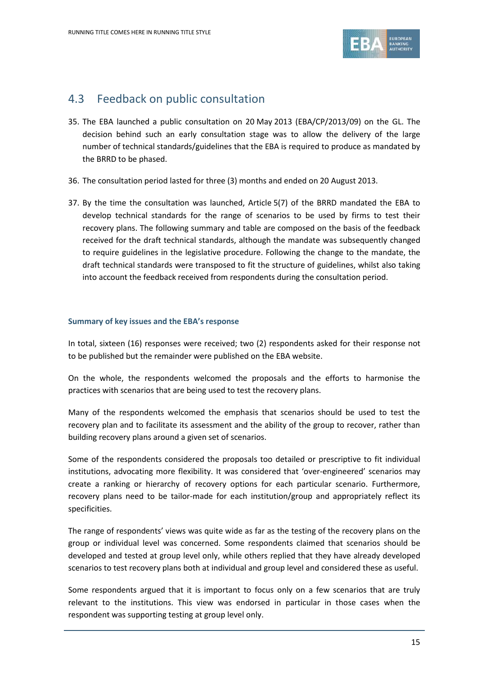

### 4.3 Feedback on public consultation

- 35. The EBA launched a public consultation on 20 May 2013 (EBA/CP/2013/09) on the GL. The decision behind such an early consultation stage was to allow the delivery of the large number of technical standards/guidelines that the EBA is required to produce as mandated by the BRRD to be phased.
- 36. The consultation period lasted for three (3) months and ended on 20 August 2013.
- 37. By the time the consultation was launched, Article 5(7) of the BRRD mandated the EBA to develop technical standards for the range of scenarios to be used by firms to test their recovery plans. The following summary and table are composed on the basis of the feedback received for the draft technical standards, although the mandate was subsequently changed to require guidelines in the legislative procedure. Following the change to the mandate, the draft technical standards were transposed to fit the structure of guidelines, whilst also taking into account the feedback received from respondents during the consultation period.

#### **Summary of key issues and the EBA's response**

In total, sixteen (16) responses were received; two (2) respondents asked for their response not to be published but the remainder were published on the EBA website.

On the whole, the respondents welcomed the proposals and the efforts to harmonise the practices with scenarios that are being used to test the recovery plans.

Many of the respondents welcomed the emphasis that scenarios should be used to test the recovery plan and to facilitate its assessment and the ability of the group to recover, rather than building recovery plans around a given set of scenarios.

Some of the respondents considered the proposals too detailed or prescriptive to fit individual institutions, advocating more flexibility. It was considered that 'over-engineered' scenarios may create a ranking or hierarchy of recovery options for each particular scenario. Furthermore, recovery plans need to be tailor-made for each institution/group and appropriately reflect its specificities.

The range of respondents' views was quite wide as far as the testing of the recovery plans on the group or individual level was concerned. Some respondents claimed that scenarios should be developed and tested at group level only, while others replied that they have already developed scenarios to test recovery plans both at individual and group level and considered these as useful.

Some respondents argued that it is important to focus only on a few scenarios that are truly relevant to the institutions. This view was endorsed in particular in those cases when the respondent was supporting testing at group level only.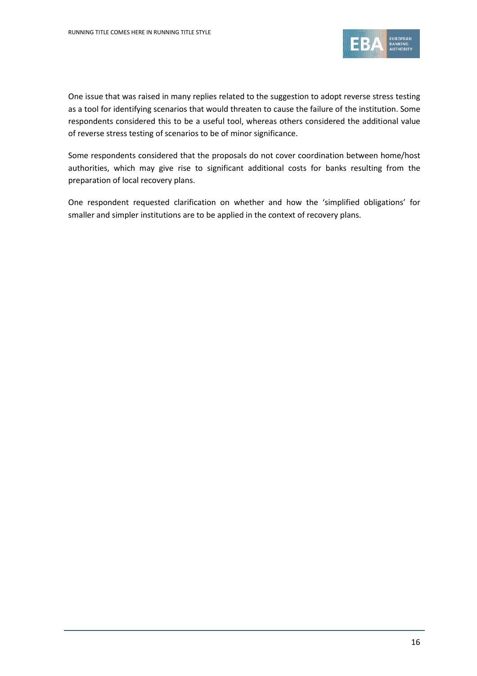

One issue that was raised in many replies related to the suggestion to adopt reverse stress testing as a tool for identifying scenarios that would threaten to cause the failure of the institution. Some respondents considered this to be a useful tool, whereas others considered the additional value of reverse stress testing of scenarios to be of minor significance.

Some respondents considered that the proposals do not cover coordination between home/host authorities, which may give rise to significant additional costs for banks resulting from the preparation of local recovery plans.

One respondent requested clarification on whether and how the 'simplified obligations' for smaller and simpler institutions are to be applied in the context of recovery plans.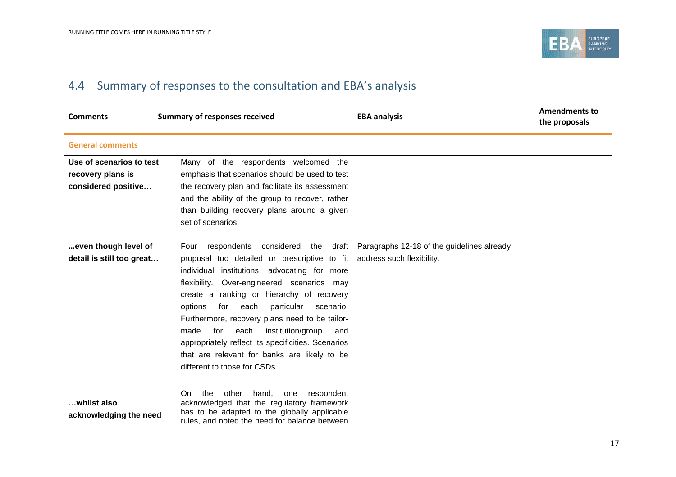

## 4.4 Summary of responses to the consultation and EBA's analysis

| <b>Comments</b>                                                      | <b>Summary of responses received</b>                                                                                                                                                                                                                                                                                                                                                                                                                                                                                         | <b>EBA analysis</b>                                                         | <b>Amendments to</b><br>the proposals |
|----------------------------------------------------------------------|------------------------------------------------------------------------------------------------------------------------------------------------------------------------------------------------------------------------------------------------------------------------------------------------------------------------------------------------------------------------------------------------------------------------------------------------------------------------------------------------------------------------------|-----------------------------------------------------------------------------|---------------------------------------|
| <b>General comments</b>                                              |                                                                                                                                                                                                                                                                                                                                                                                                                                                                                                                              |                                                                             |                                       |
| Use of scenarios to test<br>recovery plans is<br>considered positive | Many of the respondents welcomed the<br>emphasis that scenarios should be used to test<br>the recovery plan and facilitate its assessment<br>and the ability of the group to recover, rather<br>than building recovery plans around a given<br>set of scenarios.                                                                                                                                                                                                                                                             |                                                                             |                                       |
| even though level of<br>detail is still too great                    | Four<br>proposal too detailed or prescriptive to fit address such flexibility.<br>individual institutions, advocating for more<br>Over-engineered scenarios may<br>flexibility.<br>create a ranking or hierarchy of recovery<br>particular<br>options<br>for<br>each<br>scenario.<br>Furthermore, recovery plans need to be tailor-<br>institution/group<br>made<br>for<br>each<br>and<br>appropriately reflect its specificities. Scenarios<br>that are relevant for banks are likely to be<br>different to those for CSDs. | respondents considered the draft Paragraphs 12-18 of the guidelines already |                                       |
| whilst also<br>acknowledging the need                                | the<br>other<br>hand, one<br>On.<br>respondent<br>acknowledged that the regulatory framework<br>has to be adapted to the globally applicable<br>rules, and noted the need for balance between                                                                                                                                                                                                                                                                                                                                |                                                                             |                                       |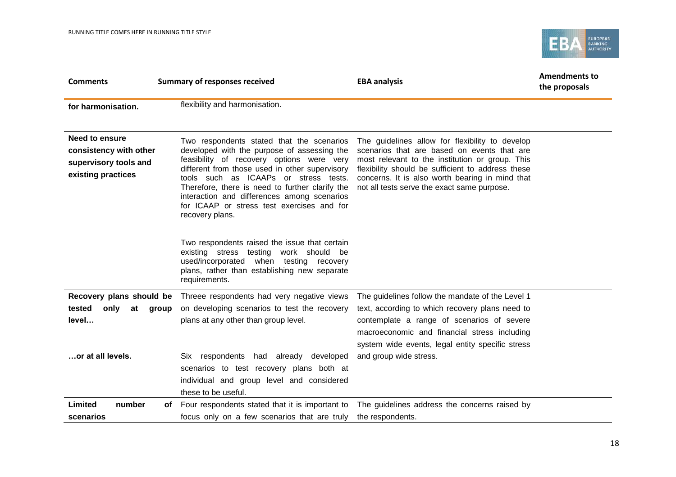

| <b>Comments</b>                                                                         | <b>Summary of responses received</b>                                                                                                                                                                                                                                                                                                                                                                | <b>EBA analysis</b>                                                                                                                                                                                                                                                                                      | <b>Amendments to</b><br>the proposals |
|-----------------------------------------------------------------------------------------|-----------------------------------------------------------------------------------------------------------------------------------------------------------------------------------------------------------------------------------------------------------------------------------------------------------------------------------------------------------------------------------------------------|----------------------------------------------------------------------------------------------------------------------------------------------------------------------------------------------------------------------------------------------------------------------------------------------------------|---------------------------------------|
| for harmonisation.                                                                      | flexibility and harmonisation.                                                                                                                                                                                                                                                                                                                                                                      |                                                                                                                                                                                                                                                                                                          |                                       |
| Need to ensure<br>consistency with other<br>supervisory tools and<br>existing practices | Two respondents stated that the scenarios<br>developed with the purpose of assessing the<br>feasibility of recovery options were very<br>different from those used in other supervisory<br>tools such as ICAAPs or stress tests.<br>Therefore, there is need to further clarify the<br>interaction and differences among scenarios<br>for ICAAP or stress test exercises and for<br>recovery plans. | The guidelines allow for flexibility to develop<br>scenarios that are based on events that are<br>most relevant to the institution or group. This<br>flexibility should be sufficient to address these<br>concerns. It is also worth bearing in mind that<br>not all tests serve the exact same purpose. |                                       |
|                                                                                         | Two respondents raised the issue that certain<br>existing stress testing work should be<br>used/incorporated<br>when testing recovery<br>plans, rather than establishing new separate<br>requirements.                                                                                                                                                                                              |                                                                                                                                                                                                                                                                                                          |                                       |
| tested<br>only<br>at<br>group<br>level                                                  | <b>Recovery plans should be</b> Threee respondents had very negative views<br>on developing scenarios to test the recovery<br>plans at any other than group level.                                                                                                                                                                                                                                  | The guidelines follow the mandate of the Level 1<br>text, according to which recovery plans need to<br>contemplate a range of scenarios of severe<br>macroeconomic and financial stress including<br>system wide events, legal entity specific stress                                                    |                                       |
| or at all levels.                                                                       | Six respondents had already developed<br>scenarios to test recovery plans both at<br>individual and group level and considered<br>these to be useful.                                                                                                                                                                                                                                               | and group wide stress.                                                                                                                                                                                                                                                                                   |                                       |
| Limited<br>number<br>of<br>scenarios                                                    | Four respondents stated that it is important to<br>focus only on a few scenarios that are truly                                                                                                                                                                                                                                                                                                     | The guidelines address the concerns raised by<br>the respondents.                                                                                                                                                                                                                                        |                                       |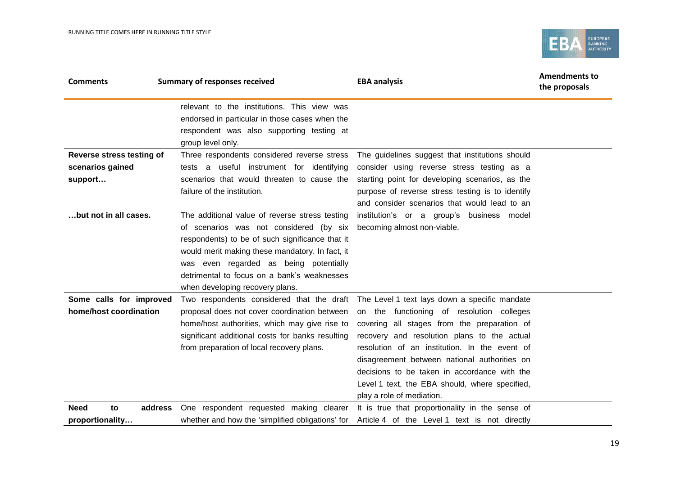

| <b>Comments</b>                                          | <b>Summary of responses received</b>                                                                                                                                                                                                                                                                                        | <b>EBA analysis</b>                                                                                                                                                                                                                                                                                                                                                                                                                                                | <b>Amendments to</b><br>the proposals |
|----------------------------------------------------------|-----------------------------------------------------------------------------------------------------------------------------------------------------------------------------------------------------------------------------------------------------------------------------------------------------------------------------|--------------------------------------------------------------------------------------------------------------------------------------------------------------------------------------------------------------------------------------------------------------------------------------------------------------------------------------------------------------------------------------------------------------------------------------------------------------------|---------------------------------------|
|                                                          | relevant to the institutions. This view was<br>endorsed in particular in those cases when the<br>respondent was also supporting testing at<br>group level only.                                                                                                                                                             |                                                                                                                                                                                                                                                                                                                                                                                                                                                                    |                                       |
| Reverse stress testing of<br>scenarios gained<br>support | Three respondents considered reverse stress<br>tests a useful instrument for identifying<br>scenarios that would threaten to cause the<br>failure of the institution.                                                                                                                                                       | The guidelines suggest that institutions should<br>consider using reverse stress testing as a<br>starting point for developing scenarios, as the<br>purpose of reverse stress testing is to identify<br>and consider scenarios that would lead to an                                                                                                                                                                                                               |                                       |
| but not in all cases.                                    | The additional value of reverse stress testing<br>of scenarios was not considered (by six<br>respondents) to be of such significance that it<br>would merit making these mandatory. In fact, it<br>was even regarded as being potentially<br>detrimental to focus on a bank's weaknesses<br>when developing recovery plans. | institution's or a group's business model<br>becoming almost non-viable.                                                                                                                                                                                                                                                                                                                                                                                           |                                       |
| Some calls for improved<br>home/host coordination        | proposal does not cover coordination between<br>home/host authorities, which may give rise to<br>significant additional costs for banks resulting<br>from preparation of local recovery plans.                                                                                                                              | Two respondents considered that the draft The Level 1 text lays down a specific mandate<br>on the functioning of resolution colleges<br>covering all stages from the preparation of<br>recovery and resolution plans to the actual<br>resolution of an institution. In the event of<br>disagreement between national authorities on<br>decisions to be taken in accordance with the<br>Level 1 text, the EBA should, where specified,<br>play a role of mediation. |                                       |
| <b>Need</b><br>address<br>to<br>proportionality          | One respondent requested making clearer<br>whether and how the 'simplified obligations' for                                                                                                                                                                                                                                 | It is true that proportionality in the sense of<br>Article 4 of the Level 1 text is not directly                                                                                                                                                                                                                                                                                                                                                                   |                                       |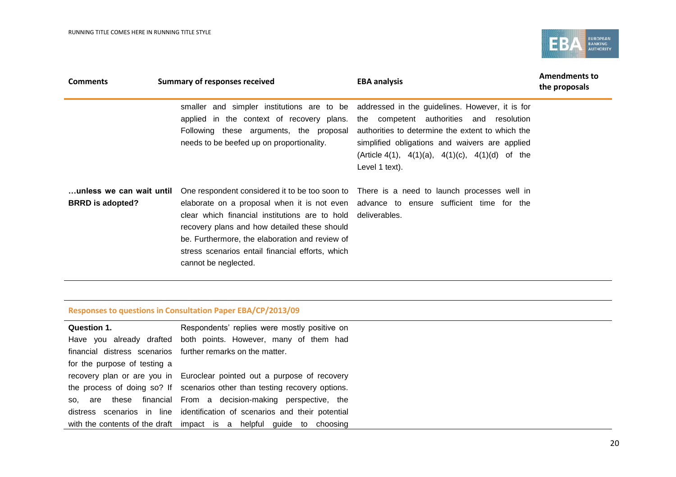

| <b>Comments</b>                                      | Summary of responses received                                                                                                                                                                                                              | <b>EBA analysis</b>                                                                                                                                                                                                                                                                                                                                                 | <b>Amendments to</b><br>the proposals |
|------------------------------------------------------|--------------------------------------------------------------------------------------------------------------------------------------------------------------------------------------------------------------------------------------------|---------------------------------------------------------------------------------------------------------------------------------------------------------------------------------------------------------------------------------------------------------------------------------------------------------------------------------------------------------------------|---------------------------------------|
|                                                      | Following these arguments, the proposal<br>needs to be beefed up on proportionality.                                                                                                                                                       | smaller and simpler institutions are to be addressed in the guidelines. However, it is for<br>applied in the context of recovery plans. the competent authorities and resolution<br>authorities to determine the extent to which the<br>simplified obligations and waivers are applied<br>(Article 4(1), $4(1)(a)$ , $4(1)(c)$ , $4(1)(d)$ of the<br>Level 1 text). |                                       |
| …unless we can wait until<br><b>BRRD</b> is adopted? | clear which financial institutions are to hold deliverables.<br>recovery plans and how detailed these should<br>be. Furthermore, the elaboration and review of<br>stress scenarios entail financial efforts, which<br>cannot be neglected. | One respondent considered it to be too soon to There is a need to launch processes well in<br>elaborate on a proposal when it is not even advance to ensure sufficient time for the                                                                                                                                                                                 |                                       |

### **Responses to questions in Consultation Paper EBA/CP/2013/09**

| Question 1.                  | Respondents' replies were mostly positive on                               |
|------------------------------|----------------------------------------------------------------------------|
|                              | Have you already drafted both points. However, many of them had            |
|                              | financial distress scenarios further remarks on the matter.                |
| for the purpose of testing a |                                                                            |
|                              | recovery plan or are you in Euroclear pointed out a purpose of recovery    |
|                              | the process of doing so? If scenarios other than testing recovery options. |
|                              | so, are these financial From a decision-making perspective, the            |
|                              | distress scenarios in line identification of scenarios and their potential |
|                              | with the contents of the draft impact is a helpful guide to choosing       |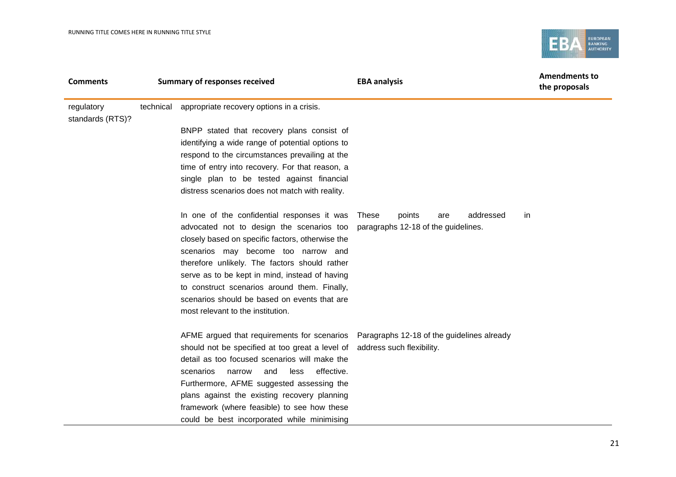

| <b>Comments</b>                | <b>Summary of responses received</b>                                                                                                                                                                                                                                                                                                                                                                                                       | <b>EBA analysis</b>                                                     | <b>Amendments to</b><br>the proposals |
|--------------------------------|--------------------------------------------------------------------------------------------------------------------------------------------------------------------------------------------------------------------------------------------------------------------------------------------------------------------------------------------------------------------------------------------------------------------------------------------|-------------------------------------------------------------------------|---------------------------------------|
| regulatory<br>standards (RTS)? | technical appropriate recovery options in a crisis.                                                                                                                                                                                                                                                                                                                                                                                        |                                                                         |                                       |
|                                | BNPP stated that recovery plans consist of<br>identifying a wide range of potential options to<br>respond to the circumstances prevailing at the<br>time of entry into recovery. For that reason, a<br>single plan to be tested against financial<br>distress scenarios does not match with reality.                                                                                                                                       |                                                                         |                                       |
|                                | In one of the confidential responses it was These<br>advocated not to design the scenarios too<br>closely based on specific factors, otherwise the<br>scenarios may become too narrow and<br>therefore unlikely. The factors should rather<br>serve as to be kept in mind, instead of having<br>to construct scenarios around them. Finally,<br>scenarios should be based on events that are<br>most relevant to the institution.          | addressed<br>points<br>in<br>are<br>paragraphs 12-18 of the guidelines. |                                       |
|                                | AFME argued that requirements for scenarios  Paragraphs 12-18 of the guidelines already<br>should not be specified at too great a level of<br>detail as too focused scenarios will make the<br>less<br>effective.<br>scenarios<br>narrow<br>and<br>Furthermore, AFME suggested assessing the<br>plans against the existing recovery planning<br>framework (where feasible) to see how these<br>could be best incorporated while minimising | address such flexibility.                                               |                                       |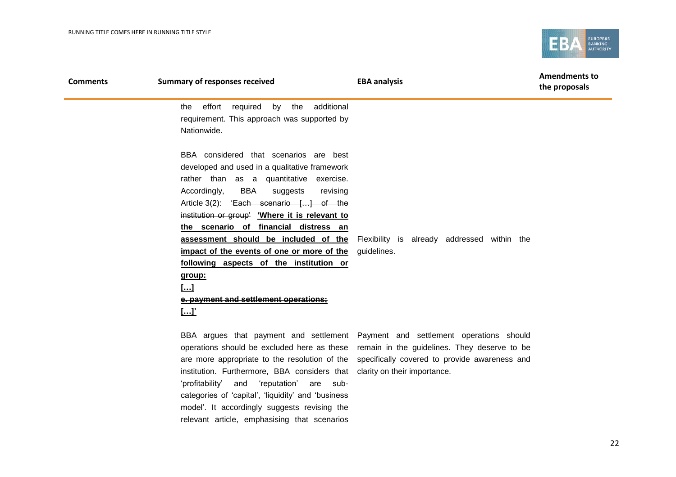

| <b>Comments</b> | <b>Summary of responses received</b>                                                                                                                                                                                                                                                                                                                                                                                                                                                                                           | <b>EBA analysis</b>                                                                                                                                                                                                                                                        | <b>Amendments to</b><br>the proposals |
|-----------------|--------------------------------------------------------------------------------------------------------------------------------------------------------------------------------------------------------------------------------------------------------------------------------------------------------------------------------------------------------------------------------------------------------------------------------------------------------------------------------------------------------------------------------|----------------------------------------------------------------------------------------------------------------------------------------------------------------------------------------------------------------------------------------------------------------------------|---------------------------------------|
|                 | additional<br>effort required by the<br>the<br>requirement. This approach was supported by<br>Nationwide.                                                                                                                                                                                                                                                                                                                                                                                                                      |                                                                                                                                                                                                                                                                            |                                       |
|                 | BBA considered that scenarios are best<br>developed and used in a qualitative framework<br>rather than as a quantitative exercise.<br>BBA<br>Accordingly,<br>suggests<br>revising<br>Article 3(2): 'Each scenario [] of the<br>institution or group' 'Where it is relevant to<br>the scenario of financial distress an<br>assessment should be included of the<br>impact of the events of one or more of the<br>following aspects of the institution or<br>group:<br>[]<br>e. payment and settlement operations;<br><u>[]'</u> | Flexibility is already addressed within the<br>guidelines.                                                                                                                                                                                                                 |                                       |
|                 | institution. Furthermore, BBA considers that clarity on their importance.<br>'profitability'<br>and<br>'reputation'<br>sub-<br>are<br>categories of 'capital', 'liquidity' and 'business<br>model'. It accordingly suggests revising the                                                                                                                                                                                                                                                                                       | BBA argues that payment and settlement Payment and settlement operations should<br>operations should be excluded here as these remain in the guidelines. They deserve to be<br>are more appropriate to the resolution of the specifically covered to provide awareness and |                                       |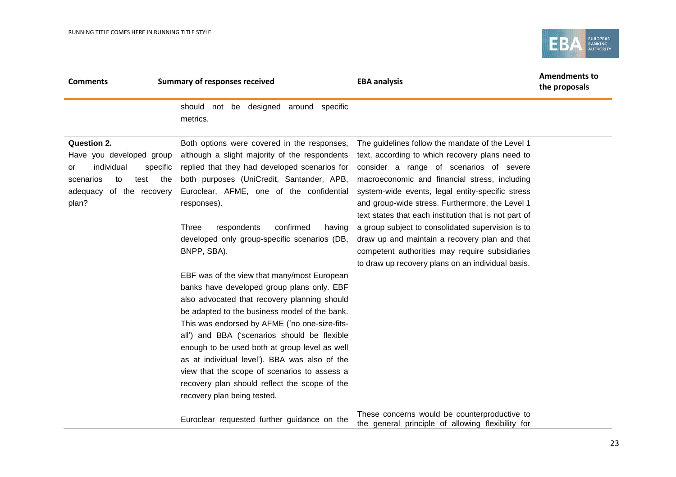

| <b>Comments</b>                                                                                                                                          | <b>Summary of responses received</b>                                                                                                                                                                                                                                                                                                                                | <b>EBA analysis</b>                                                                                                                                                                                                                                                                                                                                                                                                                                                                                                     | <b>Amendments to</b><br>the proposals |
|----------------------------------------------------------------------------------------------------------------------------------------------------------|---------------------------------------------------------------------------------------------------------------------------------------------------------------------------------------------------------------------------------------------------------------------------------------------------------------------------------------------------------------------|-------------------------------------------------------------------------------------------------------------------------------------------------------------------------------------------------------------------------------------------------------------------------------------------------------------------------------------------------------------------------------------------------------------------------------------------------------------------------------------------------------------------------|---------------------------------------|
|                                                                                                                                                          | not be designed around specific<br>should<br>metrics.                                                                                                                                                                                                                                                                                                               |                                                                                                                                                                                                                                                                                                                                                                                                                                                                                                                         |                                       |
| <b>Question 2.</b><br>Have you developed group<br>individual<br>specific<br>or<br>the<br>scenarios<br>to<br>test<br>of the recovery<br>adequacy<br>plan? | Both options were covered in the responses,<br>although a slight majority of the respondents<br>replied that they had developed scenarios for<br>both purposes (UniCredit, Santander, APB,<br>Euroclear, AFME, one of the confidential<br>responses).<br>confirmed<br>Three<br>respondents<br>having<br>developed only group-specific scenarios (DB,<br>BNPP, SBA). | The guidelines follow the mandate of the Level 1<br>text, according to which recovery plans need to<br>consider a range of scenarios of severe<br>macroeconomic and financial stress, including<br>system-wide events, legal entity-specific stress<br>and group-wide stress. Furthermore, the Level 1<br>text states that each institution that is not part of<br>a group subject to consolidated supervision is to<br>draw up and maintain a recovery plan and that<br>competent authorities may require subsidiaries |                                       |
|                                                                                                                                                          | EBF was of the view that many/most European<br>banks have developed group plans only. EBF<br>also advocated that recovery planning should<br>be adapted to the business model of the bank.                                                                                                                                                                          | to draw up recovery plans on an individual basis.                                                                                                                                                                                                                                                                                                                                                                                                                                                                       |                                       |

Euroclear requested further guidance on the

recovery plan being tested.

This was endorsed by AFME ('no one-size-fitsall') and BBA ('scenarios should be flexible enough to be used both at group level as well as at individual level'). BBA was also of the view that the scope of scenarios to assess a recovery plan should reflect the scope of the

> These concerns would be counterproductive to the general principle of allowing flexibility for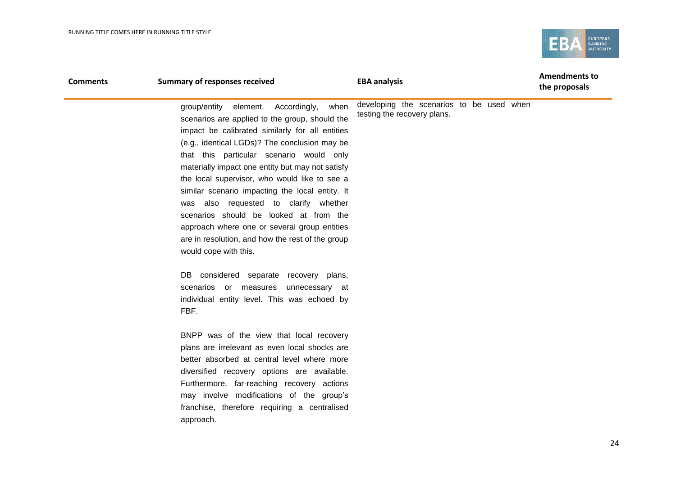

| <b>Comments</b> | <b>Summary of responses received</b>                                                                                                                                                                                                                                                                                                                                                                                                                                                                                                                                                                                    | <b>EBA analysis</b>                                                     | <b>Amendments to</b><br>the proposals |
|-----------------|-------------------------------------------------------------------------------------------------------------------------------------------------------------------------------------------------------------------------------------------------------------------------------------------------------------------------------------------------------------------------------------------------------------------------------------------------------------------------------------------------------------------------------------------------------------------------------------------------------------------------|-------------------------------------------------------------------------|---------------------------------------|
|                 | element. Accordingly,<br>when<br>group/entity<br>scenarios are applied to the group, should the<br>impact be calibrated similarly for all entities<br>(e.g., identical LGDs)? The conclusion may be<br>that this particular scenario would only<br>materially impact one entity but may not satisfy<br>the local supervisor, who would like to see a<br>similar scenario impacting the local entity. It<br>was also requested to clarify whether<br>scenarios should be looked at from the<br>approach where one or several group entities<br>are in resolution, and how the rest of the group<br>would cope with this. | developing the scenarios to be used when<br>testing the recovery plans. |                                       |
|                 | DB considered separate recovery plans,<br>scenarios or measures unnecessary at<br>individual entity level. This was echoed by<br>FBF.                                                                                                                                                                                                                                                                                                                                                                                                                                                                                   |                                                                         |                                       |
|                 | BNPP was of the view that local recovery<br>plans are irrelevant as even local shocks are<br>better absorbed at central level where more<br>diversified recovery options are available.<br>Furthermore, far-reaching recovery actions<br>may involve modifications of the group's<br>franchise, therefore requiring a centralised<br>approach.                                                                                                                                                                                                                                                                          |                                                                         |                                       |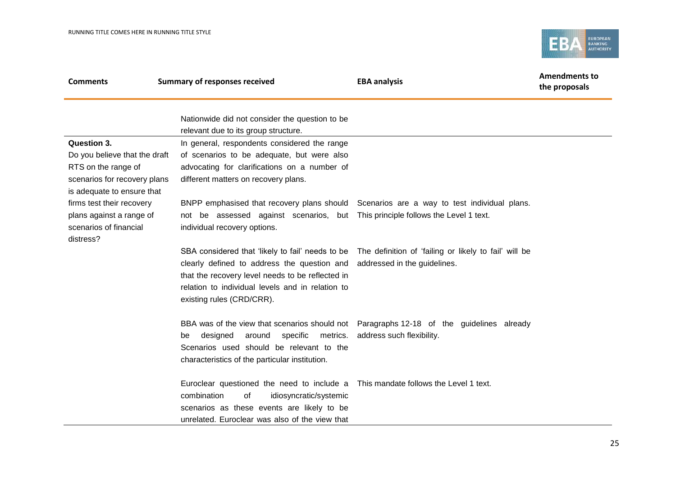

| <b>Comments</b>                                                                              | <b>Summary of responses received</b>                                                                                                                                                                                             | <b>EBA analysis</b>                                                                                                                     | <b>Amendments to</b><br>the proposals |
|----------------------------------------------------------------------------------------------|----------------------------------------------------------------------------------------------------------------------------------------------------------------------------------------------------------------------------------|-----------------------------------------------------------------------------------------------------------------------------------------|---------------------------------------|
|                                                                                              | Nationwide did not consider the question to be<br>relevant due to its group structure.                                                                                                                                           |                                                                                                                                         |                                       |
| Question 3.<br>Do you believe that the draft                                                 | In general, respondents considered the range<br>of scenarios to be adequate, but were also                                                                                                                                       |                                                                                                                                         |                                       |
| RTS on the range of<br>scenarios for recovery plans<br>is adequate to ensure that            | advocating for clarifications on a number of<br>different matters on recovery plans.                                                                                                                                             |                                                                                                                                         |                                       |
| firms test their recovery<br>plans against a range of<br>scenarios of financial<br>distress? | not be assessed against scenarios, but This principle follows the Level 1 text.<br>individual recovery options.                                                                                                                  | BNPP emphasised that recovery plans should Scenarios are a way to test individual plans.                                                |                                       |
|                                                                                              | clearly defined to address the question and<br>that the recovery level needs to be reflected in<br>relation to individual levels and in relation to<br>existing rules (CRD/CRR).                                                 | SBA considered that 'likely to fail' needs to be  The definition of 'failing or likely to fail' will be<br>addressed in the guidelines. |                                       |
|                                                                                              | designed<br>around<br>specific<br>metrics.<br>be<br>Scenarios used should be relevant to the<br>characteristics of the particular institution.                                                                                   | BBA was of the view that scenarios should not Paragraphs 12-18 of the guidelines already<br>address such flexibility.                   |                                       |
|                                                                                              | Euroclear questioned the need to include a This mandate follows the Level 1 text.<br>combination<br>of<br>idiosyncratic/systemic<br>scenarios as these events are likely to be<br>unrelated. Euroclear was also of the view that |                                                                                                                                         |                                       |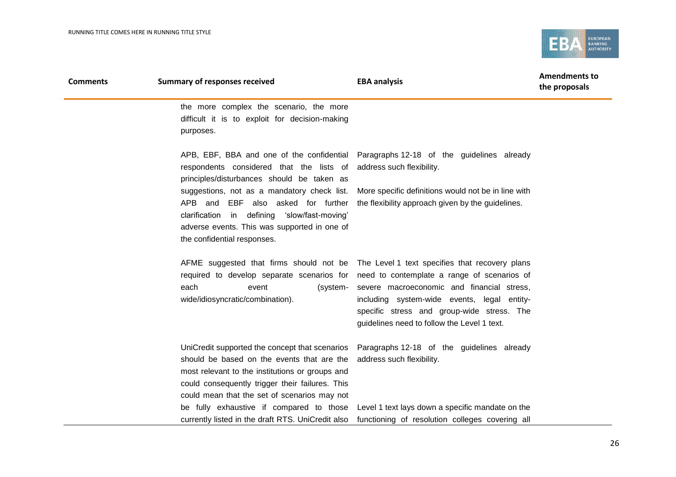

| <b>Comments</b> | <b>Summary of responses received</b>                                                                                                                                                                                                               | <b>EBA analysis</b>                                                                                                                                                                                                                                                                                                                                                                 | <b>Amendments to</b><br>the proposals |
|-----------------|----------------------------------------------------------------------------------------------------------------------------------------------------------------------------------------------------------------------------------------------------|-------------------------------------------------------------------------------------------------------------------------------------------------------------------------------------------------------------------------------------------------------------------------------------------------------------------------------------------------------------------------------------|---------------------------------------|
|                 | the more complex the scenario, the more<br>difficult it is to exploit for decision-making<br>purposes.                                                                                                                                             |                                                                                                                                                                                                                                                                                                                                                                                     |                                       |
|                 | respondents considered that the lists of<br>principles/disturbances should be taken as                                                                                                                                                             | APB, EBF, BBA and one of the confidential Paragraphs 12-18 of the guidelines already<br>address such flexibility.                                                                                                                                                                                                                                                                   |                                       |
|                 | suggestions, not as a mandatory check list.<br>APB and EBF also asked for further<br>clarification in defining 'slow/fast-moving'<br>adverse events. This was supported in one of<br>the confidential responses.                                   | More specific definitions would not be in line with<br>the flexibility approach given by the guidelines.                                                                                                                                                                                                                                                                            |                                       |
|                 | each<br>event<br>wide/idiosyncratic/combination).                                                                                                                                                                                                  | AFME suggested that firms should not be The Level 1 text specifies that recovery plans<br>required to develop separate scenarios for need to contemplate a range of scenarios of<br>(system- severe macroeconomic and financial stress,<br>including system-wide events, legal entity-<br>specific stress and group-wide stress. The<br>guidelines need to follow the Level 1 text. |                                       |
|                 | UniCredit supported the concept that scenarios<br>should be based on the events that are the<br>most relevant to the institutions or groups and<br>could consequently trigger their failures. This<br>could mean that the set of scenarios may not | Paragraphs 12-18 of the guidelines already<br>address such flexibility.                                                                                                                                                                                                                                                                                                             |                                       |
|                 | be fully exhaustive if compared to those                                                                                                                                                                                                           | Level 1 text lays down a specific mandate on the<br>currently listed in the draft RTS. UniCredit also functioning of resolution colleges covering all                                                                                                                                                                                                                               |                                       |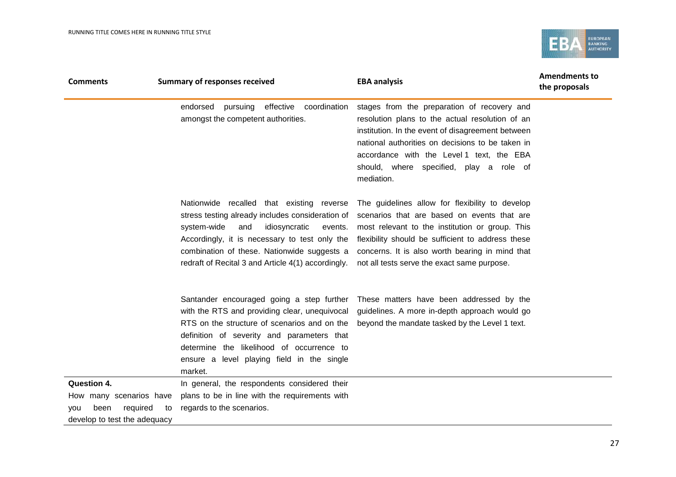

| <b>Comments</b>               | <b>Summary of responses received</b>                                                                                                                                                                                                                                                                  | <b>EBA analysis</b>                                                                                                                                                                                                                                                                                           | <b>Amendments to</b><br>the proposals |
|-------------------------------|-------------------------------------------------------------------------------------------------------------------------------------------------------------------------------------------------------------------------------------------------------------------------------------------------------|---------------------------------------------------------------------------------------------------------------------------------------------------------------------------------------------------------------------------------------------------------------------------------------------------------------|---------------------------------------|
|                               | effective<br>coordination<br>endorsed<br>pursuing<br>amongst the competent authorities.                                                                                                                                                                                                               | stages from the preparation of recovery and<br>resolution plans to the actual resolution of an<br>institution. In the event of disagreement between<br>national authorities on decisions to be taken in<br>accordance with the Level 1 text, the EBA<br>should, where specified, play a role of<br>mediation. |                                       |
|                               | Nationwide recalled that existing reverse<br>stress testing already includes consideration of<br>system-wide<br>idiosyncratic<br>and<br>events.<br>Accordingly, it is necessary to test only the<br>combination of these. Nationwide suggests a<br>redraft of Recital 3 and Article 4(1) accordingly. | The guidelines allow for flexibility to develop<br>scenarios that are based on events that are<br>most relevant to the institution or group. This<br>flexibility should be sufficient to address these<br>concerns. It is also worth bearing in mind that<br>not all tests serve the exact same purpose.      |                                       |
|                               | Santander encouraged going a step further<br>with the RTS and providing clear, unequivocal<br>RTS on the structure of scenarios and on the<br>definition of severity and parameters that<br>determine the likelihood of occurrence to<br>ensure a level playing field in the single<br>market.        | These matters have been addressed by the<br>guidelines. A more in-depth approach would go<br>beyond the mandate tasked by the Level 1 text.                                                                                                                                                                   |                                       |
| <b>Question 4.</b>            | In general, the respondents considered their                                                                                                                                                                                                                                                          |                                                                                                                                                                                                                                                                                                               |                                       |
| How many scenarios have       | plans to be in line with the requirements with                                                                                                                                                                                                                                                        |                                                                                                                                                                                                                                                                                                               |                                       |
| required<br>been<br>to<br>vou | regards to the scenarios.                                                                                                                                                                                                                                                                             |                                                                                                                                                                                                                                                                                                               |                                       |
| develop to test the adequacy  |                                                                                                                                                                                                                                                                                                       |                                                                                                                                                                                                                                                                                                               |                                       |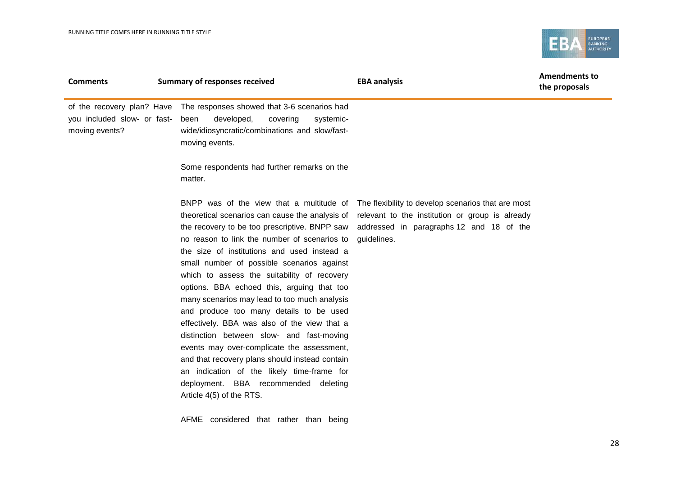

| <b>Comments</b>                               | <b>Summary of responses received</b>                                                                                                                                                                                                                                                                                                                                                                                                                                                                                                                                                                                                                                                                                                                 | <b>EBA analysis</b>                                                                                                                                                                                       | <b>Amendments to</b><br>the proposals |
|-----------------------------------------------|------------------------------------------------------------------------------------------------------------------------------------------------------------------------------------------------------------------------------------------------------------------------------------------------------------------------------------------------------------------------------------------------------------------------------------------------------------------------------------------------------------------------------------------------------------------------------------------------------------------------------------------------------------------------------------------------------------------------------------------------------|-----------------------------------------------------------------------------------------------------------------------------------------------------------------------------------------------------------|---------------------------------------|
| you included slow- or fast-<br>moving events? | of the recovery plan? Have The responses showed that 3-6 scenarios had<br>developed,<br>covering<br>been<br>systemic-<br>wide/idiosyncratic/combinations and slow/fast-<br>moving events.                                                                                                                                                                                                                                                                                                                                                                                                                                                                                                                                                            |                                                                                                                                                                                                           |                                       |
|                                               | Some respondents had further remarks on the<br>matter.                                                                                                                                                                                                                                                                                                                                                                                                                                                                                                                                                                                                                                                                                               |                                                                                                                                                                                                           |                                       |
|                                               | theoretical scenarios can cause the analysis of<br>the recovery to be too prescriptive. BNPP saw<br>no reason to link the number of scenarios to<br>the size of institutions and used instead a<br>small number of possible scenarios against<br>which to assess the suitability of recovery<br>options. BBA echoed this, arguing that too<br>many scenarios may lead to too much analysis<br>and produce too many details to be used<br>effectively. BBA was also of the view that a<br>distinction between slow- and fast-moving<br>events may over-complicate the assessment,<br>and that recovery plans should instead contain<br>an indication of the likely time-frame for<br>deployment. BBA recommended deleting<br>Article 4(5) of the RTS. | BNPP was of the view that a multitude of The flexibility to develop scenarios that are most<br>relevant to the institution or group is already<br>addressed in paragraphs 12 and 18 of the<br>guidelines. |                                       |
|                                               | AFME considered that rather than being                                                                                                                                                                                                                                                                                                                                                                                                                                                                                                                                                                                                                                                                                                               |                                                                                                                                                                                                           |                                       |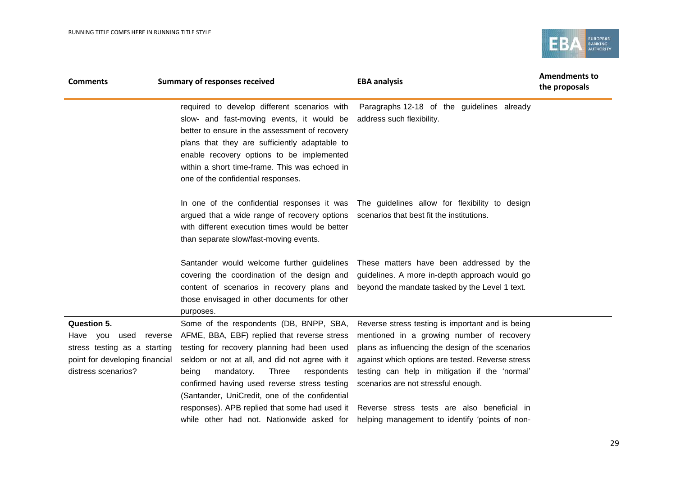

| <b>Comments</b>                                                                                                                            | <b>Summary of responses received</b>                                                                                                                                                                                                                                                                                                                                                       | <b>EBA analysis</b>                                                                                                                                                                                                                                                                                                                           | <b>Amendments to</b><br>the proposals |
|--------------------------------------------------------------------------------------------------------------------------------------------|--------------------------------------------------------------------------------------------------------------------------------------------------------------------------------------------------------------------------------------------------------------------------------------------------------------------------------------------------------------------------------------------|-----------------------------------------------------------------------------------------------------------------------------------------------------------------------------------------------------------------------------------------------------------------------------------------------------------------------------------------------|---------------------------------------|
|                                                                                                                                            | required to develop different scenarios with<br>slow- and fast-moving events, it would be<br>better to ensure in the assessment of recovery<br>plans that they are sufficiently adaptable to<br>enable recovery options to be implemented<br>within a short time-frame. This was echoed in<br>one of the confidential responses.                                                           | Paragraphs 12-18 of the guidelines already<br>address such flexibility.                                                                                                                                                                                                                                                                       |                                       |
|                                                                                                                                            | argued that a wide range of recovery options<br>with different execution times would be better<br>than separate slow/fast-moving events.                                                                                                                                                                                                                                                   | In one of the confidential responses it was The guidelines allow for flexibility to design<br>scenarios that best fit the institutions.                                                                                                                                                                                                       |                                       |
|                                                                                                                                            | Santander would welcome further guidelines<br>covering the coordination of the design and<br>content of scenarios in recovery plans and<br>those envisaged in other documents for other<br>purposes.                                                                                                                                                                                       | These matters have been addressed by the<br>guidelines. A more in-depth approach would go<br>beyond the mandate tasked by the Level 1 text.                                                                                                                                                                                                   |                                       |
| <b>Question 5.</b><br>Have you<br>used<br>reverse<br>stress testing as a starting<br>point for developing financial<br>distress scenarios? | Some of the respondents (DB, BNPP, SBA,<br>AFME, BBA, EBF) replied that reverse stress<br>testing for recovery planning had been used<br>seldom or not at all, and did not agree with it<br>Three<br>being<br>mandatory.<br>respondents<br>confirmed having used reverse stress testing<br>(Santander, UniCredit, one of the confidential<br>responses). APB replied that some had used it | Reverse stress testing is important and is being<br>mentioned in a growing number of recovery<br>plans as influencing the design of the scenarios<br>against which options are tested. Reverse stress<br>testing can help in mitigation if the 'normal'<br>scenarios are not stressful enough.<br>Reverse stress tests are also beneficial in |                                       |
|                                                                                                                                            | while other had not. Nationwide asked for                                                                                                                                                                                                                                                                                                                                                  | helping management to identify 'points of non-                                                                                                                                                                                                                                                                                                |                                       |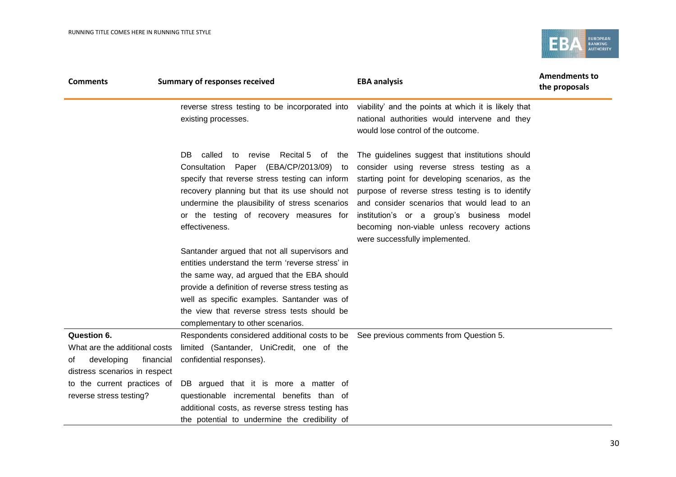

| <b>Comments</b>                                                                                                                                                          | <b>Summary of responses received</b>                                                                                                                                                                                                                                                                                                                    | <b>EBA analysis</b>                                                                                                                                                                                                                                                                                                                                                                | <b>Amendments to</b><br>the proposals |
|--------------------------------------------------------------------------------------------------------------------------------------------------------------------------|---------------------------------------------------------------------------------------------------------------------------------------------------------------------------------------------------------------------------------------------------------------------------------------------------------------------------------------------------------|------------------------------------------------------------------------------------------------------------------------------------------------------------------------------------------------------------------------------------------------------------------------------------------------------------------------------------------------------------------------------------|---------------------------------------|
|                                                                                                                                                                          | reverse stress testing to be incorporated into<br>existing processes.                                                                                                                                                                                                                                                                                   | viability' and the points at which it is likely that<br>national authorities would intervene and they<br>would lose control of the outcome.                                                                                                                                                                                                                                        |                                       |
|                                                                                                                                                                          | called<br>Recital 5 of the<br>DB.<br>to revise<br>Consultation Paper (EBA/CP/2013/09) to<br>specify that reverse stress testing can inform<br>recovery planning but that its use should not<br>undermine the plausibility of stress scenarios<br>or the testing of recovery measures for<br>effectiveness.                                              | The guidelines suggest that institutions should<br>consider using reverse stress testing as a<br>starting point for developing scenarios, as the<br>purpose of reverse stress testing is to identify<br>and consider scenarios that would lead to an<br>institution's or a group's business model<br>becoming non-viable unless recovery actions<br>were successfully implemented. |                                       |
|                                                                                                                                                                          | Santander argued that not all supervisors and<br>entities understand the term 'reverse stress' in<br>the same way, ad argued that the EBA should<br>provide a definition of reverse stress testing as<br>well as specific examples. Santander was of<br>the view that reverse stress tests should be<br>complementary to other scenarios.               |                                                                                                                                                                                                                                                                                                                                                                                    |                                       |
| Question 6.<br>What are the additional costs<br>developing<br>financial<br>of<br>distress scenarios in respect<br>to the current practices of<br>reverse stress testing? | Respondents considered additional costs to be See previous comments from Question 5.<br>limited (Santander, UniCredit, one of the<br>confidential responses).<br>DB argued that it is more a matter of<br>questionable incremental benefits than of<br>additional costs, as reverse stress testing has<br>the potential to undermine the credibility of |                                                                                                                                                                                                                                                                                                                                                                                    |                                       |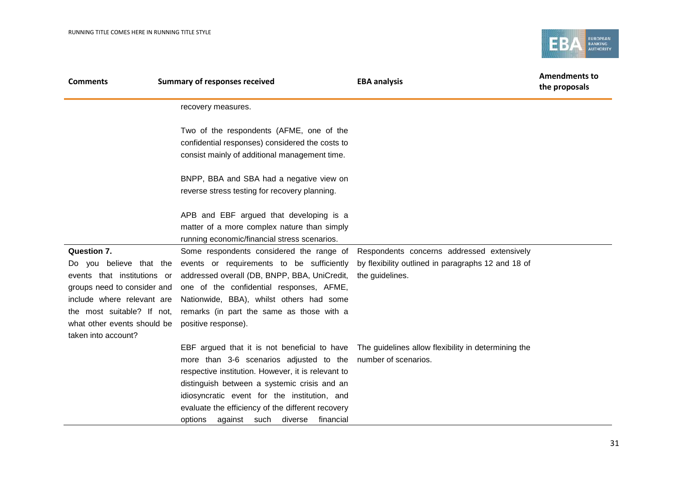

| <b>Comments</b>                                                                                                                                                                                                               | <b>Summary of responses received</b>                                                                                                                                                                                                                                                                                                                  | <b>EBA analysis</b>                                                                                                 | <b>Amendments to</b><br>the proposals |
|-------------------------------------------------------------------------------------------------------------------------------------------------------------------------------------------------------------------------------|-------------------------------------------------------------------------------------------------------------------------------------------------------------------------------------------------------------------------------------------------------------------------------------------------------------------------------------------------------|---------------------------------------------------------------------------------------------------------------------|---------------------------------------|
|                                                                                                                                                                                                                               | recovery measures.                                                                                                                                                                                                                                                                                                                                    |                                                                                                                     |                                       |
|                                                                                                                                                                                                                               | Two of the respondents (AFME, one of the<br>confidential responses) considered the costs to<br>consist mainly of additional management time.                                                                                                                                                                                                          |                                                                                                                     |                                       |
|                                                                                                                                                                                                                               | BNPP, BBA and SBA had a negative view on<br>reverse stress testing for recovery planning.                                                                                                                                                                                                                                                             |                                                                                                                     |                                       |
|                                                                                                                                                                                                                               | APB and EBF argued that developing is a<br>matter of a more complex nature than simply<br>running economic/financial stress scenarios.                                                                                                                                                                                                                |                                                                                                                     |                                       |
| <b>Question 7.</b><br>Do you believe that the<br>events that institutions or<br>groups need to consider and<br>include where relevant are<br>the most suitable? If not,<br>what other events should be<br>taken into account? | Some respondents considered the range of<br>events or requirements to be sufficiently<br>addressed overall (DB, BNPP, BBA, UniCredit,<br>one of the confidential responses, AFME,<br>Nationwide, BBA), whilst others had some<br>remarks (in part the same as those with a<br>positive response).                                                     | Respondents concerns addressed extensively<br>by flexibility outlined in paragraphs 12 and 18 of<br>the guidelines. |                                       |
|                                                                                                                                                                                                                               | EBF argued that it is not beneficial to have<br>more than 3-6 scenarios adjusted to the<br>respective institution. However, it is relevant to<br>distinguish between a systemic crisis and an<br>idiosyncratic event for the institution, and<br>evaluate the efficiency of the different recovery<br>against such<br>diverse<br>financial<br>options | The guidelines allow flexibility in determining the<br>number of scenarios.                                         |                                       |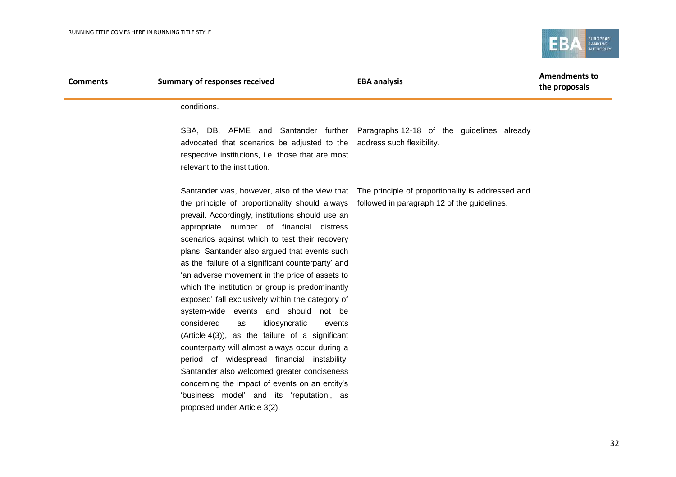

| <b>Comments</b> | <b>Summary of responses received</b>                                                                                                                                                                                                                                                                                                                                                                                                                                                                                                                                                                                                                                                                                                                                                                                                                                                                                                     | <b>EBA analysis</b>                                                                             | <b>Amendments to</b><br>the proposals |
|-----------------|------------------------------------------------------------------------------------------------------------------------------------------------------------------------------------------------------------------------------------------------------------------------------------------------------------------------------------------------------------------------------------------------------------------------------------------------------------------------------------------------------------------------------------------------------------------------------------------------------------------------------------------------------------------------------------------------------------------------------------------------------------------------------------------------------------------------------------------------------------------------------------------------------------------------------------------|-------------------------------------------------------------------------------------------------|---------------------------------------|
|                 | conditions.                                                                                                                                                                                                                                                                                                                                                                                                                                                                                                                                                                                                                                                                                                                                                                                                                                                                                                                              |                                                                                                 |                                       |
|                 | advocated that scenarios be adjusted to the address such flexibility.<br>respective institutions, i.e. those that are most<br>relevant to the institution.                                                                                                                                                                                                                                                                                                                                                                                                                                                                                                                                                                                                                                                                                                                                                                               | SBA, DB, AFME and Santander further Paragraphs 12-18 of the guidelines already                  |                                       |
|                 | the principle of proportionality should always followed in paragraph 12 of the guidelines.<br>prevail. Accordingly, institutions should use an<br>appropriate number of financial distress<br>scenarios against which to test their recovery<br>plans. Santander also argued that events such<br>as the 'failure of a significant counterparty' and<br>'an adverse movement in the price of assets to<br>which the institution or group is predominantly<br>exposed' fall exclusively within the category of<br>system-wide events and should not be<br>considered<br>idiosyncratic<br>as<br>events<br>(Article $4(3)$ ), as the failure of a significant<br>counterparty will almost always occur during a<br>period of widespread financial instability.<br>Santander also welcomed greater conciseness<br>concerning the impact of events on an entity's<br>'business model' and its 'reputation', as<br>proposed under Article 3(2). | Santander was, however, also of the view that The principle of proportionality is addressed and |                                       |
|                 |                                                                                                                                                                                                                                                                                                                                                                                                                                                                                                                                                                                                                                                                                                                                                                                                                                                                                                                                          |                                                                                                 |                                       |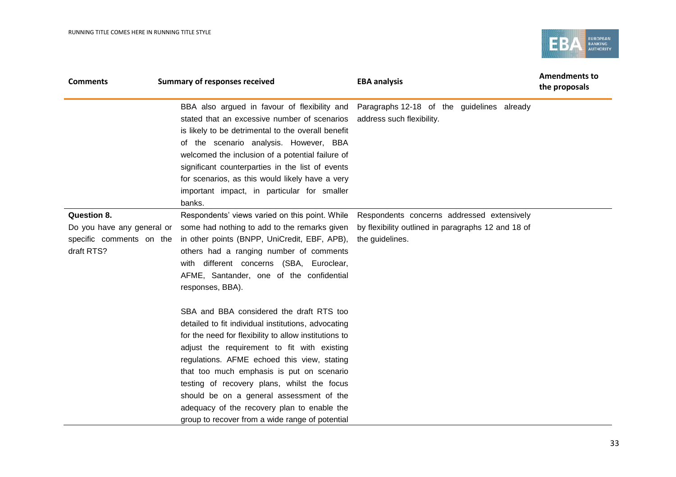

| <b>Comments</b>                                                                     | <b>Summary of responses received</b>                                                                                                                                                                                                                                                                                                                                                                                                                                                             | <b>EBA analysis</b>                                                                                                  | <b>Amendments to</b><br>the proposals |
|-------------------------------------------------------------------------------------|--------------------------------------------------------------------------------------------------------------------------------------------------------------------------------------------------------------------------------------------------------------------------------------------------------------------------------------------------------------------------------------------------------------------------------------------------------------------------------------------------|----------------------------------------------------------------------------------------------------------------------|---------------------------------------|
|                                                                                     | stated that an excessive number of scenarios<br>is likely to be detrimental to the overall benefit<br>of the scenario analysis. However, BBA<br>welcomed the inclusion of a potential failure of<br>significant counterparties in the list of events<br>for scenarios, as this would likely have a very<br>important impact, in particular for smaller<br>banks.                                                                                                                                 | BBA also argued in favour of flexibility and Paragraphs 12-18 of the guidelines already<br>address such flexibility. |                                       |
| Question 8.<br>Do you have any general or<br>specific comments on the<br>draft RTS? | Respondents' views varied on this point. While<br>some had nothing to add to the remarks given<br>in other points (BNPP, UniCredit, EBF, APB),<br>others had a ranging number of comments<br>with different concerns (SBA, Euroclear,<br>AFME, Santander, one of the confidential<br>responses, BBA).                                                                                                                                                                                            | Respondents concerns addressed extensively<br>by flexibility outlined in paragraphs 12 and 18 of<br>the guidelines.  |                                       |
|                                                                                     | SBA and BBA considered the draft RTS too<br>detailed to fit individual institutions, advocating<br>for the need for flexibility to allow institutions to<br>adjust the requirement to fit with existing<br>regulations. AFME echoed this view, stating<br>that too much emphasis is put on scenario<br>testing of recovery plans, whilst the focus<br>should be on a general assessment of the<br>adequacy of the recovery plan to enable the<br>group to recover from a wide range of potential |                                                                                                                      |                                       |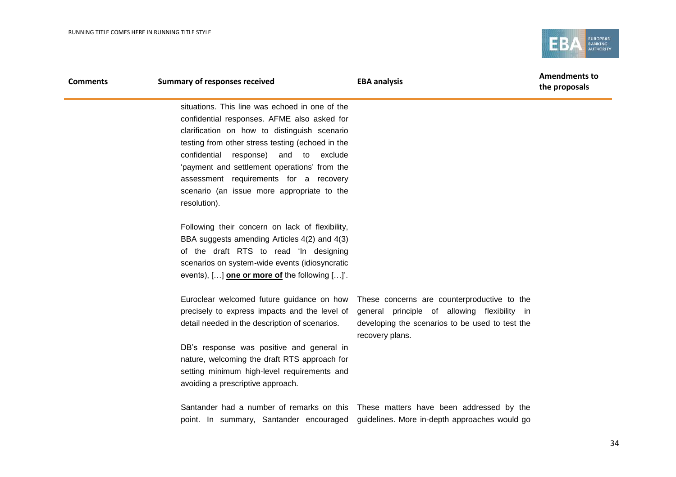

| <b>Comments</b> | <b>Summary of responses received</b>                 | <b>EBA analysis</b>                                                                   | <b>Amendments to</b><br>the proposals |
|-----------------|------------------------------------------------------|---------------------------------------------------------------------------------------|---------------------------------------|
|                 | situations. This line was echoed in one of the       |                                                                                       |                                       |
|                 | confidential responses. AFME also asked for          |                                                                                       |                                       |
|                 | clarification on how to distinguish scenario         |                                                                                       |                                       |
|                 | testing from other stress testing (echoed in the     |                                                                                       |                                       |
|                 | confidential response)<br>and to exclude             |                                                                                       |                                       |
|                 | 'payment and settlement operations' from the         |                                                                                       |                                       |
|                 | assessment requirements for a recovery               |                                                                                       |                                       |
|                 | scenario (an issue more appropriate to the           |                                                                                       |                                       |
|                 | resolution).                                         |                                                                                       |                                       |
|                 | Following their concern on lack of flexibility,      |                                                                                       |                                       |
|                 | BBA suggests amending Articles 4(2) and 4(3)         |                                                                                       |                                       |
|                 | of the draft RTS to read 'In designing               |                                                                                       |                                       |
|                 | scenarios on system-wide events (idiosyncratic       |                                                                                       |                                       |
|                 | events), [] <b>one or more of</b> the following []'. |                                                                                       |                                       |
|                 | Euroclear welcomed future guidance on how            | These concerns are counterproductive to the                                           |                                       |
|                 | precisely to express impacts and the level of        | general principle of allowing flexibility in                                          |                                       |
|                 | detail needed in the description of scenarios.       | developing the scenarios to be used to test the<br>recovery plans.                    |                                       |
|                 | DB's response was positive and general in            |                                                                                       |                                       |
|                 | nature, welcoming the draft RTS approach for         |                                                                                       |                                       |
|                 | setting minimum high-level requirements and          |                                                                                       |                                       |
|                 | avoiding a prescriptive approach.                    |                                                                                       |                                       |
|                 |                                                      | Santander had a number of remarks on this These matters have been addressed by the    |                                       |
|                 |                                                      | point. In summary, Santander encouraged guidelines. More in-depth approaches would go |                                       |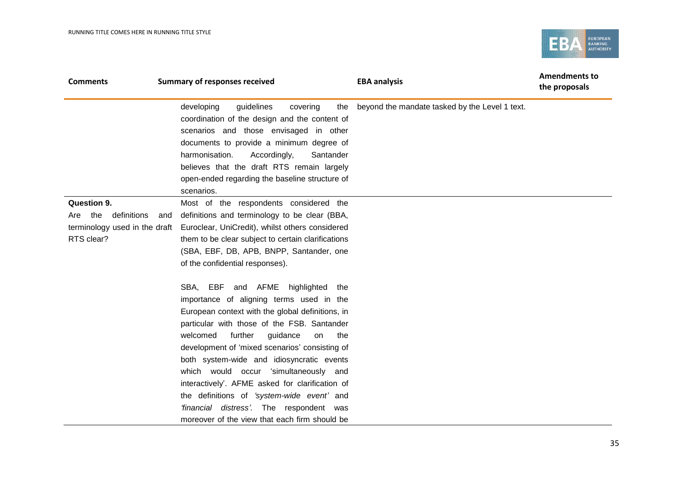

| <b>Comments</b>                                                                             | <b>Summary of responses received</b>                                                                                                                                                                                                                                                                                                                                                                                                                                                                                                                                   | <b>EBA analysis</b>                            | <b>Amendments to</b><br>the proposals |
|---------------------------------------------------------------------------------------------|------------------------------------------------------------------------------------------------------------------------------------------------------------------------------------------------------------------------------------------------------------------------------------------------------------------------------------------------------------------------------------------------------------------------------------------------------------------------------------------------------------------------------------------------------------------------|------------------------------------------------|---------------------------------------|
|                                                                                             | guidelines<br>developing<br>covering<br>the<br>coordination of the design and the content of<br>scenarios and those envisaged in other<br>documents to provide a minimum degree of<br>harmonisation.<br>Accordingly,<br>Santander<br>believes that the draft RTS remain largely<br>open-ended regarding the baseline structure of<br>scenarios.                                                                                                                                                                                                                        | beyond the mandate tasked by the Level 1 text. |                                       |
| <b>Question 9.</b><br>Are the<br>definitions<br>terminology used in the draft<br>RTS clear? | Most of the respondents considered the<br>definitions and terminology to be clear (BBA,<br>and<br>Euroclear, UniCredit), whilst others considered<br>them to be clear subject to certain clarifications<br>(SBA, EBF, DB, APB, BNPP, Santander, one<br>of the confidential responses).                                                                                                                                                                                                                                                                                 |                                                |                                       |
|                                                                                             | SBA, EBF and AFME highlighted the<br>importance of aligning terms used in the<br>European context with the global definitions, in<br>particular with those of the FSB. Santander<br>further<br>welcomed<br>guidance<br>the<br>on<br>development of 'mixed scenarios' consisting of<br>both system-wide and idiosyncratic events<br>which would occur 'simultaneously and<br>interactively'. AFME asked for clarification of<br>the definitions of 'system-wide event' and<br>'financial distress'. The respondent was<br>moreover of the view that each firm should be |                                                |                                       |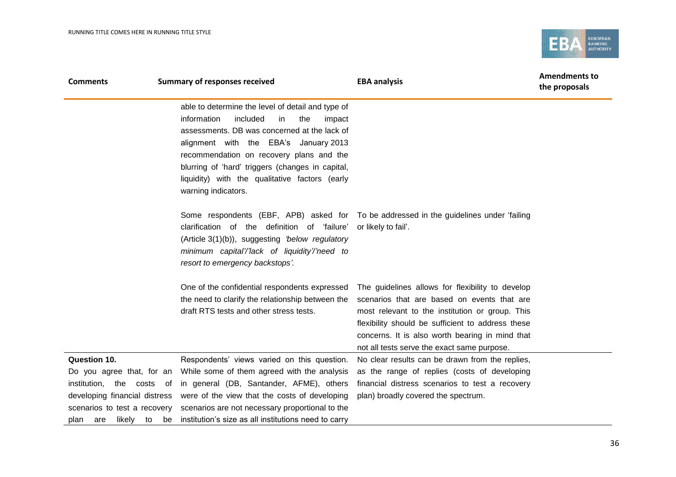

| <b>Comments</b>                                                                                                                                                                           | <b>Summary of responses received</b>                                                                                                                                                                                                                                                                                                                                  | <b>EBA analysis</b>                                                                                                                                                                                                                                                                                       | <b>Amendments to</b><br>the proposals |
|-------------------------------------------------------------------------------------------------------------------------------------------------------------------------------------------|-----------------------------------------------------------------------------------------------------------------------------------------------------------------------------------------------------------------------------------------------------------------------------------------------------------------------------------------------------------------------|-----------------------------------------------------------------------------------------------------------------------------------------------------------------------------------------------------------------------------------------------------------------------------------------------------------|---------------------------------------|
|                                                                                                                                                                                           | able to determine the level of detail and type of<br>information<br>included<br>the<br>in<br>impact<br>assessments. DB was concerned at the lack of<br>alignment with the EBA's January 2013<br>recommendation on recovery plans and the<br>blurring of 'hard' triggers (changes in capital,<br>liquidity) with the qualitative factors (early<br>warning indicators. |                                                                                                                                                                                                                                                                                                           |                                       |
|                                                                                                                                                                                           | clarification of the definition of 'failure'<br>(Article 3(1)(b)), suggesting 'below regulatory<br>minimum capital'/'lack of liquidity'/'need to<br>resort to emergency backstops'.                                                                                                                                                                                   | Some respondents (EBF, APB) asked for To be addressed in the guidelines under 'failing<br>or likely to fail'.                                                                                                                                                                                             |                                       |
|                                                                                                                                                                                           | One of the confidential respondents expressed<br>the need to clarify the relationship between the<br>draft RTS tests and other stress tests.                                                                                                                                                                                                                          | The guidelines allows for flexibility to develop<br>scenarios that are based on events that are<br>most relevant to the institution or group. This<br>flexibility should be sufficient to address these<br>concerns. It is also worth bearing in mind that<br>not all tests serve the exact same purpose. |                                       |
| <b>Question 10.</b><br>Do you agree that, for an<br>institution,<br>the<br>costs of<br>developing financial distress<br>scenarios to test a recovery<br>likely<br>to<br>be<br>plan<br>are | Respondents' views varied on this question.<br>While some of them agreed with the analysis<br>in general (DB, Santander, AFME), others<br>were of the view that the costs of developing<br>scenarios are not necessary proportional to the<br>institution's size as all institutions need to carry                                                                    | No clear results can be drawn from the replies,<br>as the range of replies (costs of developing<br>financial distress scenarios to test a recovery<br>plan) broadly covered the spectrum.                                                                                                                 |                                       |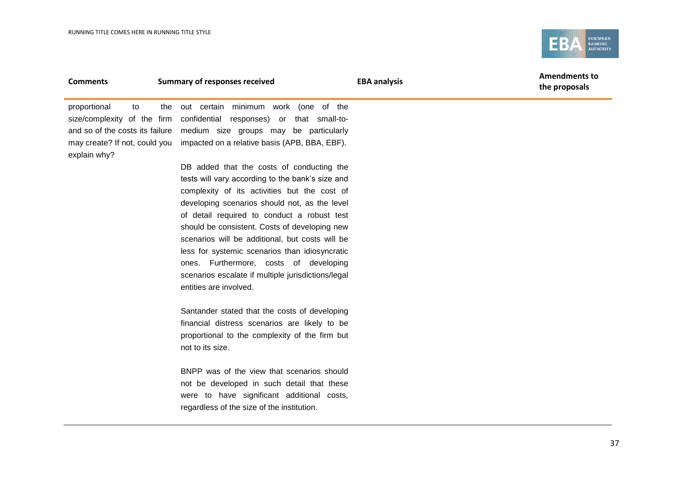Î.



| <b>Comments</b>    | <b>Summary of responses received</b>                                        | <b>EBA analysis</b> | <b>Amendments to</b><br>the proposals |
|--------------------|-----------------------------------------------------------------------------|---------------------|---------------------------------------|
| proportional<br>to | the out certain minimum work (one of the                                    |                     |                                       |
|                    | size/complexity of the firm confidential responses) or that small-to-       |                     |                                       |
|                    | and so of the costs its failure medium size groups may be particularly      |                     |                                       |
|                    | may create? If not, could you impacted on a relative basis (APB, BBA, EBF). |                     |                                       |
| explain why?       |                                                                             |                     |                                       |
|                    | DB added that the costs of conducting the                                   |                     |                                       |
|                    | tests will vary according to the bank's size and                            |                     |                                       |
|                    | complexity of its activities but the cost of                                |                     |                                       |
|                    | developing scenarios should not, as the level                               |                     |                                       |
|                    | of detail required to conduct a robust test                                 |                     |                                       |
|                    | should be consistent. Costs of developing new                               |                     |                                       |

scenarios will be additional, but costs will be less for systemic scenarios than idiosyncratic ones. Furthermore, costs of developing scenarios escalate if multiple jurisdictions/legal entities are involved.

Santander stated that the costs of developing financial distress scenarios are likely to be proportional to the complexity of the firm but not to its size.

BNPP was of the view that scenarios should not be developed in such detail that these were to have significant additional costs, regardless of the size of the institution.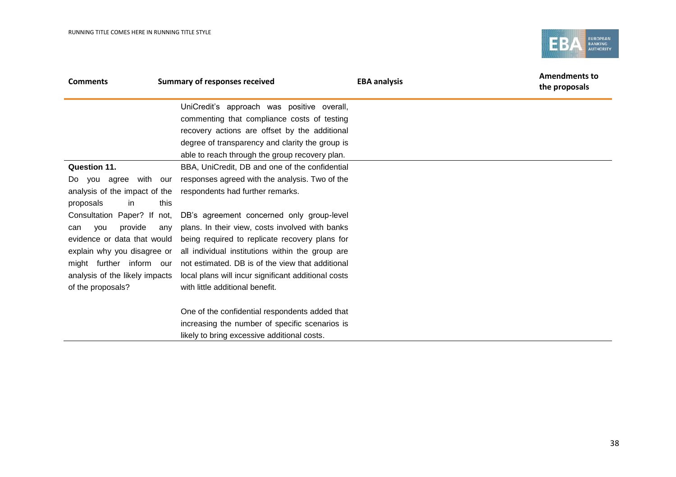

| <b>Comments</b>                | <b>Summary of responses received</b>                   | <b>EBA analysis</b> | <b>Amendments to</b><br>the proposals |
|--------------------------------|--------------------------------------------------------|---------------------|---------------------------------------|
|                                | UniCredit's approach was positive overall,             |                     |                                       |
|                                | commenting that compliance costs of testing            |                     |                                       |
|                                | recovery actions are offset by the additional          |                     |                                       |
|                                | degree of transparency and clarity the group is        |                     |                                       |
|                                | able to reach through the group recovery plan.         |                     |                                       |
| Question 11.                   | BBA, UniCredit, DB and one of the confidential         |                     |                                       |
| with our<br>Do you agree       | responses agreed with the analysis. Two of the         |                     |                                       |
| analysis of the impact of the  | respondents had further remarks.                       |                     |                                       |
| proposals<br>in.               | this                                                   |                     |                                       |
| Consultation Paper? If not,    | DB's agreement concerned only group-level              |                     |                                       |
| provide<br><b>VOU</b><br>can   | plans. In their view, costs involved with banks<br>any |                     |                                       |
| evidence or data that would    | being required to replicate recovery plans for         |                     |                                       |
| explain why you disagree or    | all individual institutions within the group are       |                     |                                       |
| might further inform our       | not estimated. DB is of the view that additional       |                     |                                       |
| analysis of the likely impacts | local plans will incur significant additional costs    |                     |                                       |
| of the proposals?              | with little additional benefit.                        |                     |                                       |
|                                | One of the confidential respondents added that         |                     |                                       |
|                                | increasing the number of specific scenarios is         |                     |                                       |
|                                | likely to bring excessive additional costs.            |                     |                                       |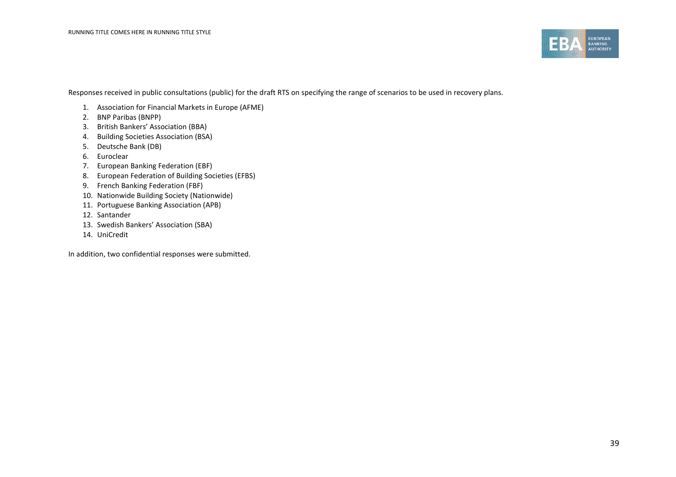

Responses received in public consultations (public) for the draft RTS on specifying the range of scenarios to be used in recovery plans.

- 1. Association for Financial Markets in Europe (AFME)
- 2. BNP Paribas (BNPP)
- 3. British Bankers' Association (BBA)
- 4. Building Societies Association (BSA)
- 5. Deutsche Bank (DB)
- 6. Euroclear
- 7. European Banking Federation (EBF)
- 8. European Federation of Building Societies (EFBS)
- 9. French Banking Federation (FBF)
- 10. Nationwide Building Society (Nationwide)
- 11. Portuguese Banking Association (APB)
- 12. Santander
- 13. Swedish Bankers' Association (SBA)
- 14. UniCredit

In addition, two confidential responses were submitted.